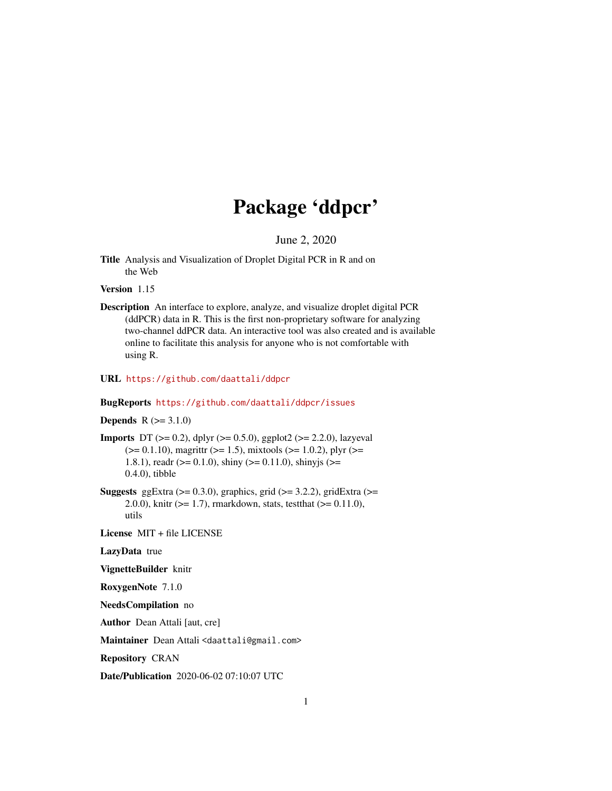# Package 'ddpcr'

June 2, 2020

<span id="page-0-0"></span>Title Analysis and Visualization of Droplet Digital PCR in R and on the Web

#### Version 1.15

Description An interface to explore, analyze, and visualize droplet digital PCR (ddPCR) data in R. This is the first non-proprietary software for analyzing two-channel ddPCR data. An interactive tool was also created and is available online to facilitate this analysis for anyone who is not comfortable with using R.

### URL <https://github.com/daattali/ddpcr>

### BugReports <https://github.com/daattali/ddpcr/issues>

### **Depends**  $R (=3.1.0)$

- **Imports** DT ( $>= 0.2$ ), dplyr ( $>= 0.5.0$ ), ggplot2 ( $>= 2.2.0$ ), lazyeval  $(>= 0.1.10)$ , magrittr  $(>= 1.5)$ , mixtools  $(>= 1.0.2)$ , plyr  $(>= 1.0.2)$ 1.8.1), readr ( $>= 0.1.0$ ), shiny ( $>= 0.11.0$ ), shinyjs ( $>=$ 0.4.0), tibble
- Suggests ggExtra  $(>= 0.3.0)$ , graphics, grid  $(>= 3.2.2)$ , gridExtra  $(>= 1.3.0)$ 2.0.0), knitr (>= 1.7), rmarkdown, stats, testthat (>= 0.11.0), utils

License MIT + file LICENSE

### LazyData true

VignetteBuilder knitr

RoxygenNote 7.1.0

NeedsCompilation no

Author Dean Attali [aut, cre]

Maintainer Dean Attali <daattali@gmail.com>

Repository CRAN

Date/Publication 2020-06-02 07:10:07 UTC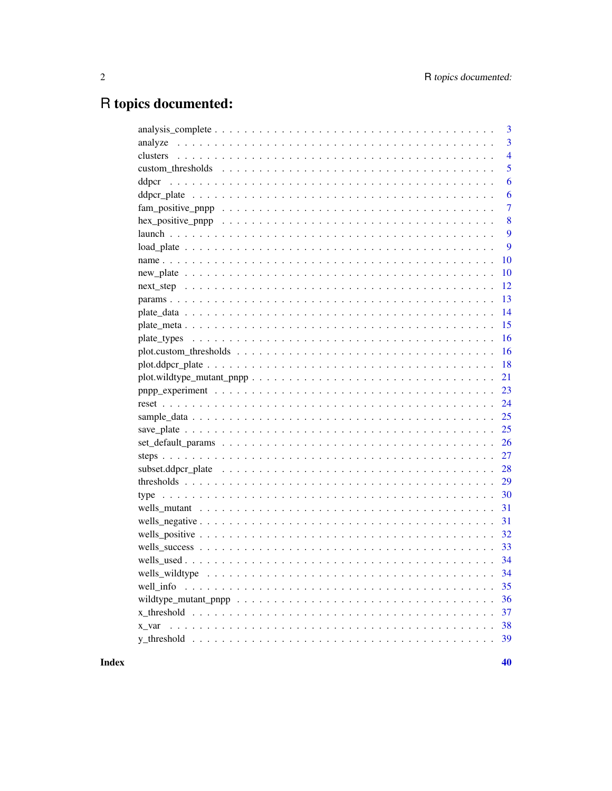# R topics documented:

| 3                                                                                                                      |
|------------------------------------------------------------------------------------------------------------------------|
| 3<br>analyze                                                                                                           |
| $\overline{4}$                                                                                                         |
| 5                                                                                                                      |
| 6                                                                                                                      |
| 6                                                                                                                      |
| $\overline{7}$                                                                                                         |
| 8                                                                                                                      |
| 9                                                                                                                      |
| 9                                                                                                                      |
| 10                                                                                                                     |
| 10                                                                                                                     |
| 12                                                                                                                     |
| 13                                                                                                                     |
| 14                                                                                                                     |
| 15                                                                                                                     |
| 16                                                                                                                     |
| 16                                                                                                                     |
| 18                                                                                                                     |
| 21                                                                                                                     |
| 23                                                                                                                     |
| 24                                                                                                                     |
| 25                                                                                                                     |
| 25                                                                                                                     |
|                                                                                                                        |
| 27                                                                                                                     |
| 28                                                                                                                     |
| 29                                                                                                                     |
| 30                                                                                                                     |
| 31                                                                                                                     |
|                                                                                                                        |
|                                                                                                                        |
|                                                                                                                        |
|                                                                                                                        |
|                                                                                                                        |
| 35<br>well info                                                                                                        |
| wildtype_mutant_pnpp $\dots \dots \dots \dots \dots \dots \dots \dots \dots \dots \dots \dots \dots \dots \dots$<br>36 |
| 37                                                                                                                     |
| 38<br>x var                                                                                                            |
| 39                                                                                                                     |
|                                                                                                                        |

**Index**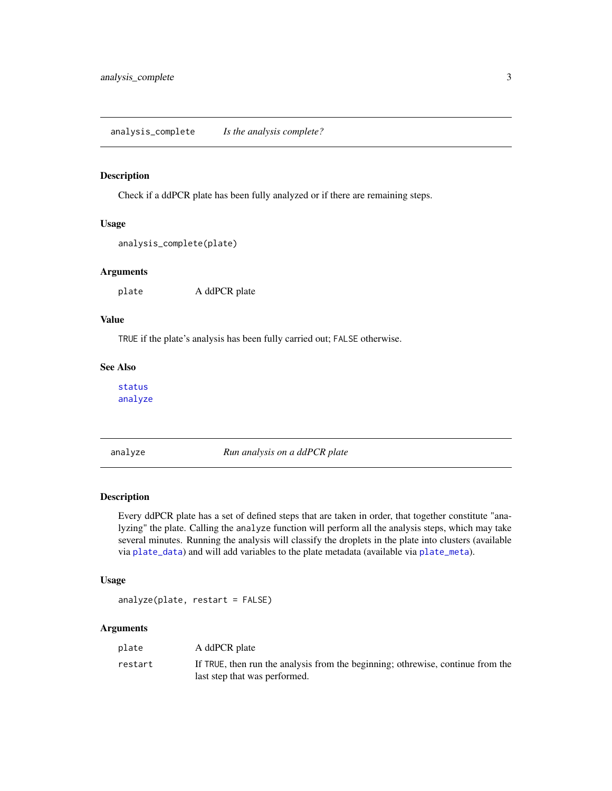<span id="page-2-0"></span>Check if a ddPCR plate has been fully analyzed or if there are remaining steps.

#### Usage

```
analysis_complete(plate)
```
#### Arguments

plate A ddPCR plate

### Value

TRUE if the plate's analysis has been fully carried out; FALSE otherwise.

### See Also

[status](#page-0-0) [analyze](#page-2-1)

<span id="page-2-1"></span>analyze *Run analysis on a ddPCR plate*

#### Description

Every ddPCR plate has a set of defined steps that are taken in order, that together constitute "analyzing" the plate. Calling the analyze function will perform all the analysis steps, which may take several minutes. Running the analysis will classify the droplets in the plate into clusters (available via [plate\\_data](#page-13-1)) and will add variables to the plate metadata (available via [plate\\_meta](#page-14-1)).

#### Usage

analyze(plate, restart = FALSE)

### Arguments

| plate   | A ddPCR plate                                                                                                    |
|---------|------------------------------------------------------------------------------------------------------------------|
| restart | If TRUE, then run the analysis from the beginning; othrewise, continue from the<br>last step that was performed. |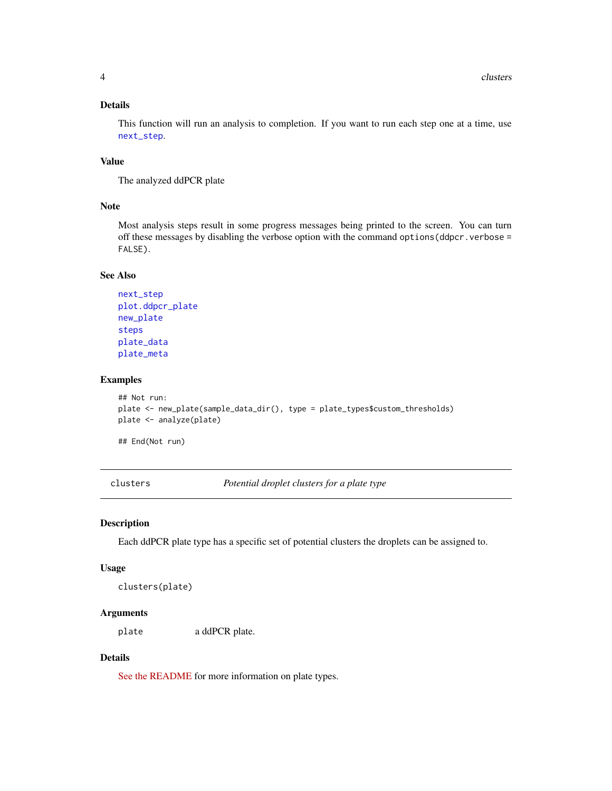### <span id="page-3-0"></span>Details

This function will run an analysis to completion. If you want to run each step one at a time, use [next\\_step](#page-11-1).

### Value

The analyzed ddPCR plate

#### Note

Most analysis steps result in some progress messages being printed to the screen. You can turn off these messages by disabling the verbose option with the command options  $\text{ddper} \cdot \text{verbose} =$ FALSE).

#### See Also

```
next_step
plot.ddpcr_plate
new_plate
steps
plate_data
plate_meta
```
### Examples

```
## Not run:
plate <- new_plate(sample_data_dir(), type = plate_types$custom_thresholds)
plate <- analyze(plate)
```
## End(Not run)

<span id="page-3-1"></span>clusters *Potential droplet clusters for a plate type*

#### Description

Each ddPCR plate type has a specific set of potential clusters the droplets can be assigned to.

#### Usage

```
clusters(plate)
```
### Arguments

plate a ddPCR plate.

### Details

[See the README](https://github.com/daattali/ddpcr#advanced-topic-3-creating-new-plate-types) for more information on plate types.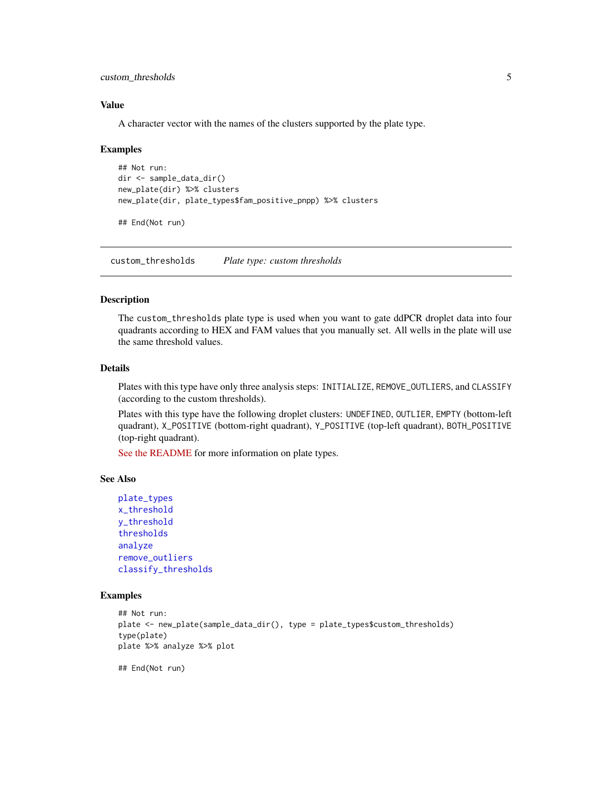<span id="page-4-0"></span>custom\_thresholds 5

#### Value

A character vector with the names of the clusters supported by the plate type.

#### Examples

```
## Not run:
dir <- sample_data_dir()
new_plate(dir) %>% clusters
new_plate(dir, plate_types$fam_positive_pnpp) %>% clusters
```
## End(Not run)

<span id="page-4-1"></span>custom\_thresholds *Plate type: custom thresholds*

#### Description

The custom\_thresholds plate type is used when you want to gate ddPCR droplet data into four quadrants according to HEX and FAM values that you manually set. All wells in the plate will use the same threshold values.

### Details

Plates with this type have only three analysis steps: INITIALIZE, REMOVE\_OUTLIERS, and CLASSIFY (according to the custom thresholds).

Plates with this type have the following droplet clusters: UNDEFINED, OUTLIER, EMPTY (bottom-left quadrant), X\_POSITIVE (bottom-right quadrant), Y\_POSITIVE (top-left quadrant), BOTH\_POSITIVE (top-right quadrant).

[See the README](https://github.com/daattali/ddpcr#advanced-topic-3-creating-new-plate-types) for more information on plate types.

#### See Also

```
plate_types
x_threshold
y_threshold
thresholds
analyze
remove_outliers
classify_thresholds
```
#### Examples

```
## Not run:
plate <- new_plate(sample_data_dir(), type = plate_types$custom_thresholds)
type(plate)
plate %>% analyze %>% plot
```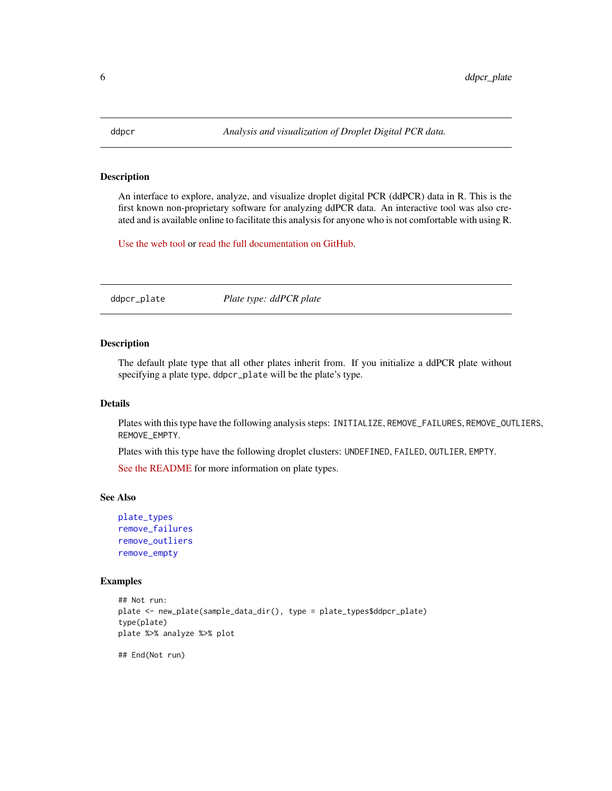<span id="page-5-0"></span>

An interface to explore, analyze, and visualize droplet digital PCR (ddPCR) data in R. This is the first known non-proprietary software for analyzing ddPCR data. An interactive tool was also created and is available online to facilitate this analysis for anyone who is not comfortable with using R.

[Use the web tool](http://daattali.com/shiny/ddpcr/) or [read the full documentation on GitHub.](https://github.com/daattali/ddpcr)

<span id="page-5-1"></span>ddpcr\_plate *Plate type: ddPCR plate*

### Description

The default plate type that all other plates inherit from. If you initialize a ddPCR plate without specifying a plate type, ddpcr\_plate will be the plate's type.

#### Details

Plates with this type have the following analysis steps: INITIALIZE, REMOVE\_FAILURES, REMOVE\_OUTLIERS, REMOVE\_EMPTY.

Plates with this type have the following droplet clusters: UNDEFINED, FAILED, OUTLIER, EMPTY.

[See the README](https://github.com/daattali/ddpcr#advanced-topic-3-creating-new-plate-types) for more information on plate types.

#### See Also

```
plate_types
remove_failures
remove_outliers
remove_empty
```
#### Examples

```
## Not run:
plate <- new_plate(sample_data_dir(), type = plate_types$ddpcr_plate)
type(plate)
plate %>% analyze %>% plot
```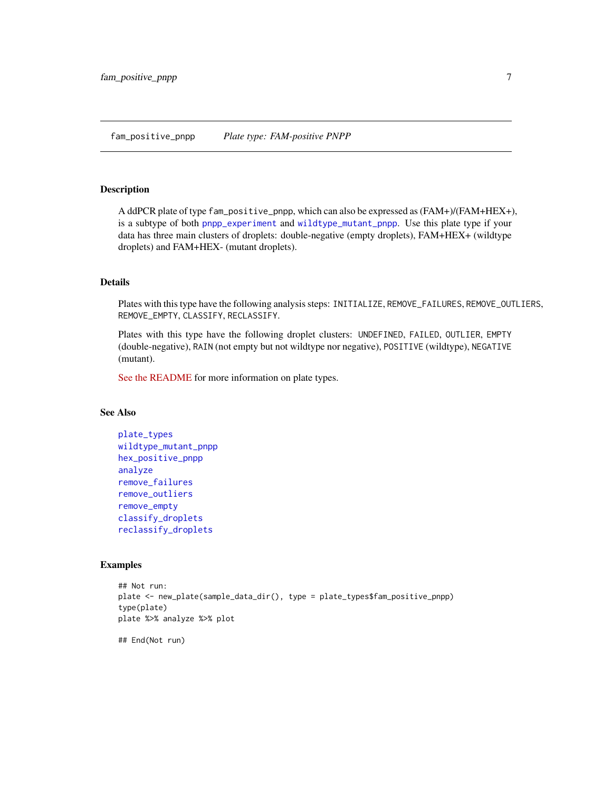<span id="page-6-1"></span><span id="page-6-0"></span>A ddPCR plate of type fam\_positive\_pnpp, which can also be expressed as (FAM+)/(FAM+HEX+), is a subtype of both [pnpp\\_experiment](#page-22-1) and [wildtype\\_mutant\\_pnpp](#page-35-1). Use this plate type if your data has three main clusters of droplets: double-negative (empty droplets), FAM+HEX+ (wildtype droplets) and FAM+HEX- (mutant droplets).

### Details

Plates with this type have the following analysis steps: INITIALIZE, REMOVE\_FAILURES, REMOVE\_OUTLIERS, REMOVE\_EMPTY, CLASSIFY, RECLASSIFY.

Plates with this type have the following droplet clusters: UNDEFINED, FAILED, OUTLIER, EMPTY (double-negative), RAIN (not empty but not wildtype nor negative), POSITIVE (wildtype), NEGATIVE (mutant).

[See the README](https://github.com/daattali/ddpcr#advanced-topic-3-creating-new-plate-types) for more information on plate types.

### See Also

```
plate_types
wildtype_mutant_pnpp
hex_positive_pnpp
analyze
remove_failures
remove_outliers
remove_empty
classify_droplets
reclassify_droplets
```

```
## Not run:
plate <- new_plate(sample_data_dir(), type = plate_types$fam_positive_pnpp)
type(plate)
plate %>% analyze %>% plot
## End(Not run)
```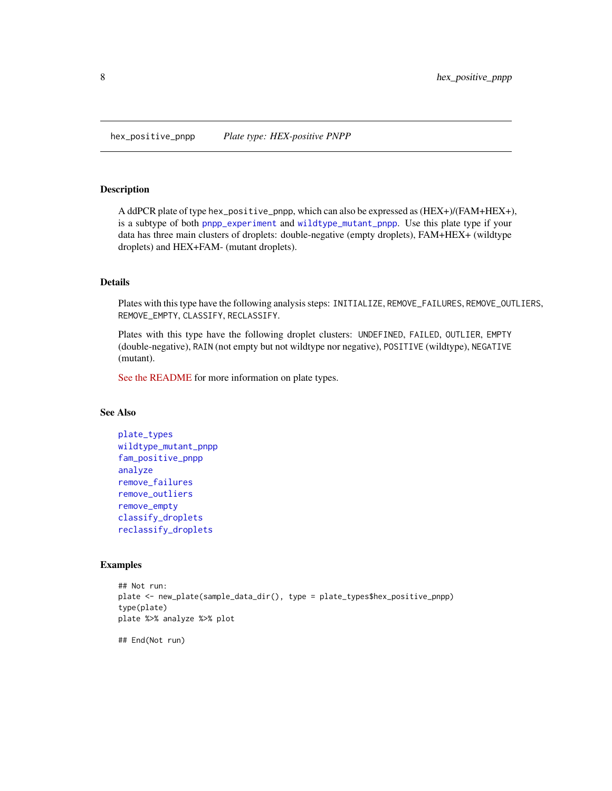<span id="page-7-1"></span><span id="page-7-0"></span>hex\_positive\_pnpp *Plate type: HEX-positive PNPP*

#### **Description**

A ddPCR plate of type hex\_positive\_pnpp, which can also be expressed as (HEX+)/(FAM+HEX+), is a subtype of both [pnpp\\_experiment](#page-22-1) and [wildtype\\_mutant\\_pnpp](#page-35-1). Use this plate type if your data has three main clusters of droplets: double-negative (empty droplets), FAM+HEX+ (wildtype droplets) and HEX+FAM- (mutant droplets).

### Details

Plates with this type have the following analysis steps: INITIALIZE, REMOVE\_FAILURES, REMOVE\_OUTLIERS, REMOVE\_EMPTY, CLASSIFY, RECLASSIFY.

Plates with this type have the following droplet clusters: UNDEFINED, FAILED, OUTLIER, EMPTY (double-negative), RAIN (not empty but not wildtype nor negative), POSITIVE (wildtype), NEGATIVE (mutant).

[See the README](https://github.com/daattali/ddpcr#advanced-topic-3-creating-new-plate-types) for more information on plate types.

### See Also

```
plate_types
wildtype_mutant_pnpp
fam_positive_pnpp
analyze
remove_failures
remove_outliers
remove_empty
classify_droplets
reclassify_droplets
```

```
## Not run:
plate <- new_plate(sample_data_dir(), type = plate_types$hex_positive_pnpp)
type(plate)
plate %>% analyze %>% plot
## End(Not run)
```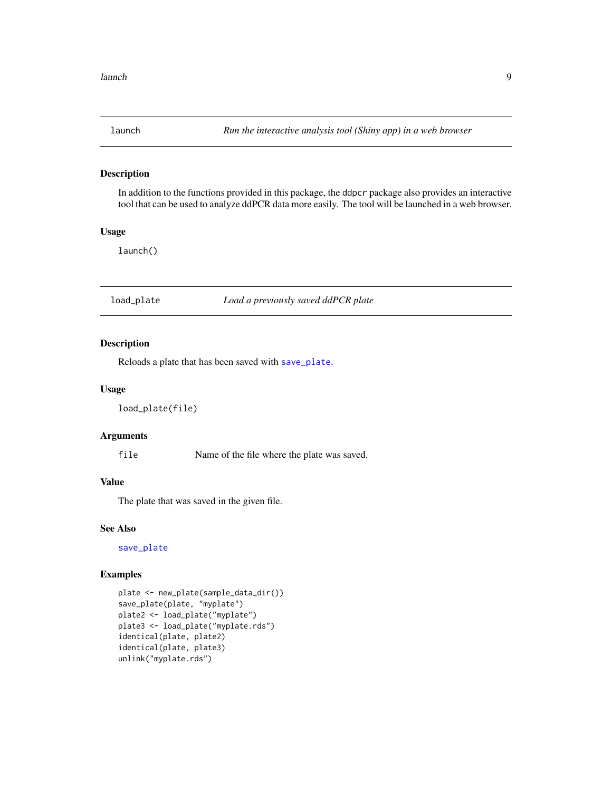<span id="page-8-0"></span>

In addition to the functions provided in this package, the ddpcr package also provides an interactive tool that can be used to analyze ddPCR data more easily. The tool will be launched in a web browser.

#### Usage

launch()

#### <span id="page-8-1"></span>load\_plate *Load a previously saved ddPCR plate*

### Description

Reloads a plate that has been saved with [save\\_plate](#page-24-1).

### Usage

```
load_plate(file)
```
### Arguments

file Name of the file where the plate was saved.

#### Value

The plate that was saved in the given file.

#### See Also

[save\\_plate](#page-24-1)

```
plate <- new_plate(sample_data_dir())
save_plate(plate, "myplate")
plate2 <- load_plate("myplate")
plate3 <- load_plate("myplate.rds")
identical(plate, plate2)
identical(plate, plate3)
unlink("myplate.rds")
```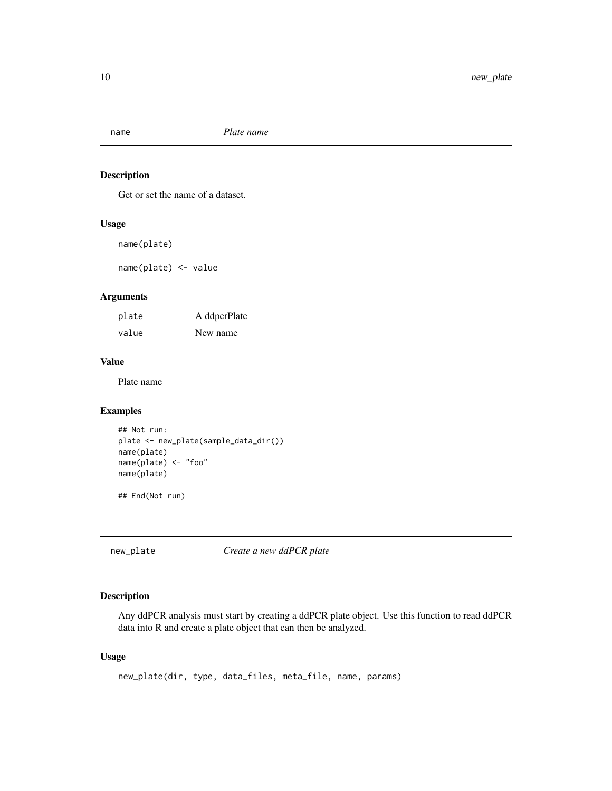<span id="page-9-0"></span>

Get or set the name of a dataset.

#### Usage

name(plate)

name(plate) <- value

### Arguments

| plate | A ddpcrPlate |
|-------|--------------|
| value | New name     |

### Value

Plate name

### Examples

```
## Not run:
plate <- new_plate(sample_data_dir())
name(plate)
name(plate) <- "foo"
name(plate)
```
## End(Not run)

<span id="page-9-1"></span>new\_plate *Create a new ddPCR plate*

### Description

Any ddPCR analysis must start by creating a ddPCR plate object. Use this function to read ddPCR data into R and create a plate object that can then be analyzed.

### Usage

```
new_plate(dir, type, data_files, meta_file, name, params)
```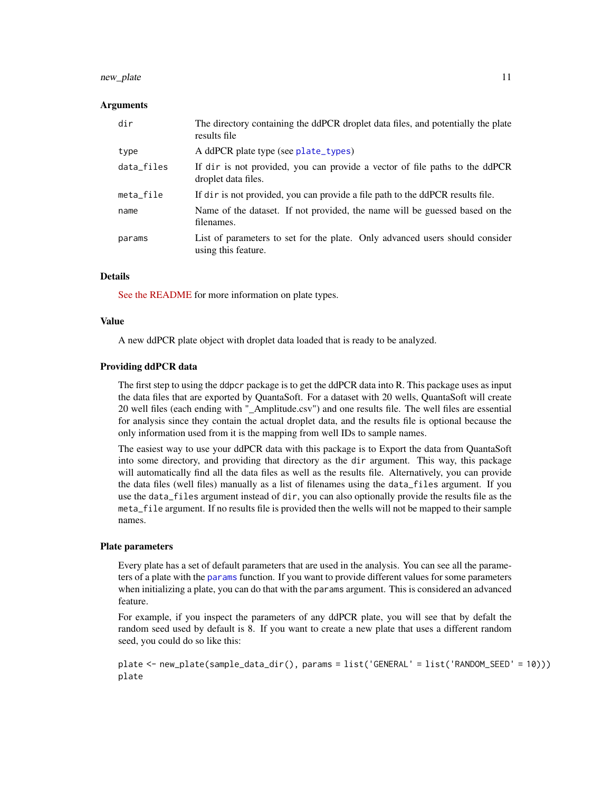#### <span id="page-10-0"></span>new\_plate the contract of the contract of the contract of the contract of the contract of the contract of the contract of the contract of the contract of the contract of the contract of the contract of the contract of the

#### Arguments

| dir        | The directory containing the ddPCR droplet data files, and potentially the plate<br>results file    |
|------------|-----------------------------------------------------------------------------------------------------|
| type       | A ddPCR plate type (see plate_types)                                                                |
| data_files | If dir is not provided, you can provide a vector of file paths to the ddPCR<br>droplet data files.  |
| meta_file  | If dir is not provided, you can provide a file path to the ddPCR results file.                      |
| name       | Name of the dataset. If not provided, the name will be guessed based on the<br>filenames.           |
| params     | List of parameters to set for the plate. Only advanced users should consider<br>using this feature. |

#### Details

[See the README](https://github.com/daattali/ddpcr#advanced-topic-3-creating-new-plate-types) for more information on plate types.

#### Value

A new ddPCR plate object with droplet data loaded that is ready to be analyzed.

#### Providing ddPCR data

The first step to using the ddpcr package is to get the ddPCR data into R. This package uses as input the data files that are exported by QuantaSoft. For a dataset with 20 wells, QuantaSoft will create 20 well files (each ending with "\_Amplitude.csv") and one results file. The well files are essential for analysis since they contain the actual droplet data, and the results file is optional because the only information used from it is the mapping from well IDs to sample names.

The easiest way to use your ddPCR data with this package is to Export the data from QuantaSoft into some directory, and providing that directory as the dir argument. This way, this package will automatically find all the data files as well as the results file. Alternatively, you can provide the data files (well files) manually as a list of filenames using the data\_files argument. If you use the data\_files argument instead of dir, you can also optionally provide the results file as the meta\_file argument. If no results file is provided then the wells will not be mapped to their sample names.

#### Plate parameters

Every plate has a set of default parameters that are used in the analysis. You can see all the parameters of a plate with the [params](#page-12-1) function. If you want to provide different values for some parameters when initializing a plate, you can do that with the params argument. This is considered an advanced feature.

For example, if you inspect the parameters of any ddPCR plate, you will see that by defalt the random seed used by default is 8. If you want to create a new plate that uses a different random seed, you could do so like this:

plate <- new\_plate(sample\_data\_dir(), params = list('GENERAL' = list('RANDOM\_SEED' = 10))) plate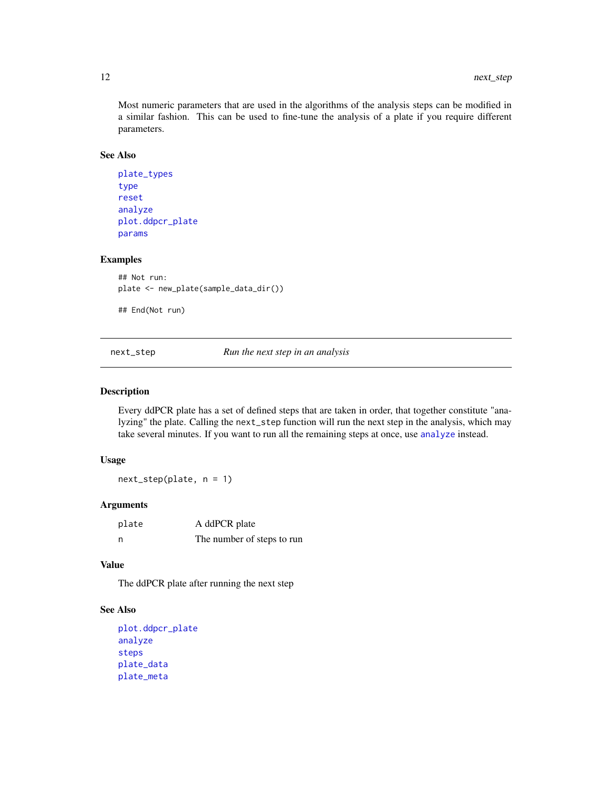Most numeric parameters that are used in the algorithms of the analysis steps can be modified in a similar fashion. This can be used to fine-tune the analysis of a plate if you require different parameters.

### See Also

```
plate_types
type
reset
analyze
plot.ddpcr_plate
params
```
### Examples

```
## Not run:
plate <- new_plate(sample_data_dir())
```

```
## End(Not run)
```
<span id="page-11-1"></span>next\_step *Run the next step in an analysis*

#### Description

Every ddPCR plate has a set of defined steps that are taken in order, that together constitute "analyzing" the plate. Calling the next\_step function will run the next step in the analysis, which may take several minutes. If you want to run all the remaining steps at once, use [analyze](#page-2-1) instead.

#### Usage

next\_step(plate, n = 1)

### Arguments

| plate | A ddPCR plate              |
|-------|----------------------------|
| - n   | The number of steps to run |

### Value

The ddPCR plate after running the next step

### See Also

```
plot.ddpcr_plate
analyze
steps
plate_data
plate_meta
```
<span id="page-11-0"></span>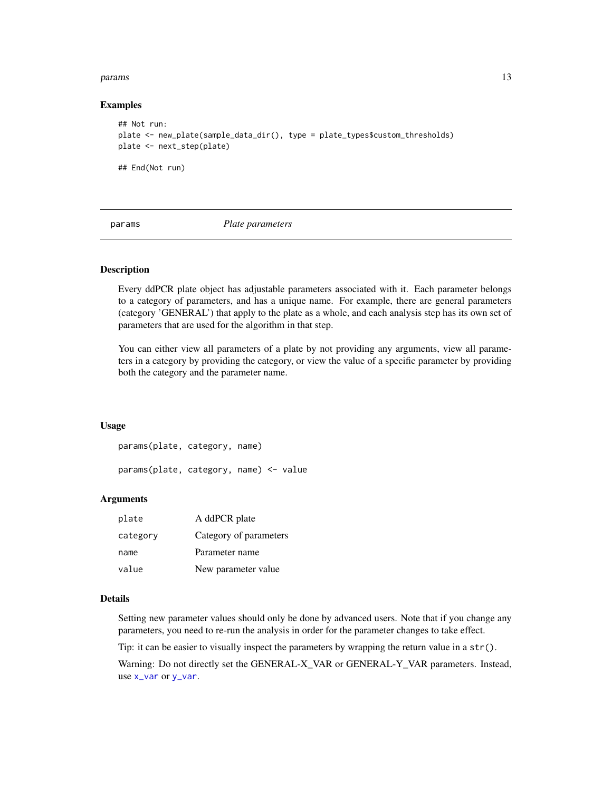#### <span id="page-12-0"></span>params and the contract of the contract of the contract of the contract of the contract of the contract of the contract of the contract of the contract of the contract of the contract of the contract of the contract of the

#### Examples

```
## Not run:
plate <- new_plate(sample_data_dir(), type = plate_types$custom_thresholds)
plate <- next_step(plate)
## End(Not run)
```
<span id="page-12-1"></span>

params *Plate parameters*

### **Description**

Every ddPCR plate object has adjustable parameters associated with it. Each parameter belongs to a category of parameters, and has a unique name. For example, there are general parameters (category 'GENERAL') that apply to the plate as a whole, and each analysis step has its own set of parameters that are used for the algorithm in that step.

You can either view all parameters of a plate by not providing any arguments, view all parameters in a category by providing the category, or view the value of a specific parameter by providing both the category and the parameter name.

#### Usage

params(plate, category, name)

params(plate, category, name) <- value

#### Arguments

| plate    | A ddPCR plate          |
|----------|------------------------|
| category | Category of parameters |
| name     | Parameter name         |
| value    | New parameter value    |

### Details

Setting new parameter values should only be done by advanced users. Note that if you change any parameters, you need to re-run the analysis in order for the parameter changes to take effect.

Tip: it can be easier to visually inspect the parameters by wrapping the return value in a str().

Warning: Do not directly set the GENERAL-X\_VAR or GENERAL-Y\_VAR parameters. Instead, use [x\\_var](#page-37-1) or [y\\_var](#page-37-2).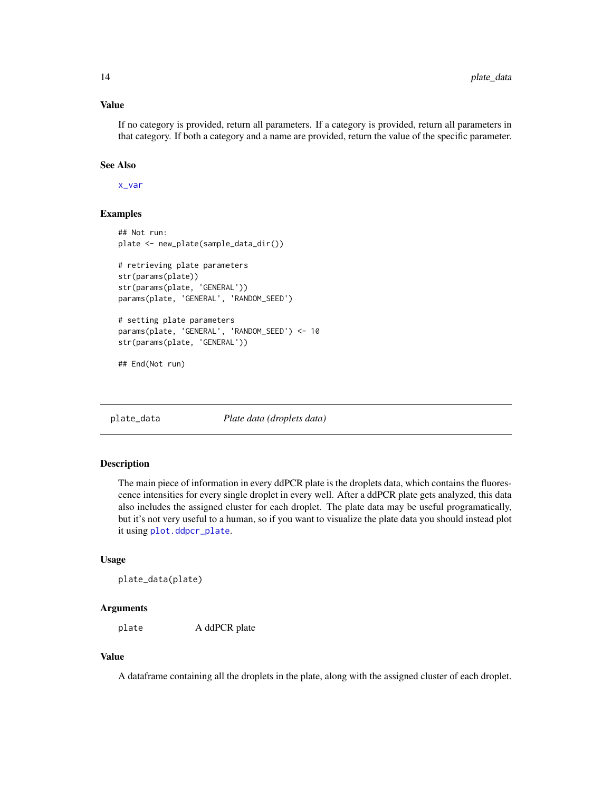### <span id="page-13-0"></span>Value

If no category is provided, return all parameters. If a category is provided, return all parameters in that category. If both a category and a name are provided, return the value of the specific parameter.

#### See Also

[x\\_var](#page-37-1)

### Examples

```
## Not run:
plate <- new_plate(sample_data_dir())
# retrieving plate parameters
str(params(plate))
str(params(plate, 'GENERAL'))
params(plate, 'GENERAL', 'RANDOM_SEED')
# setting plate parameters
params(plate, 'GENERAL', 'RANDOM_SEED') <- 10
str(params(plate, 'GENERAL'))
```
## End(Not run)

<span id="page-13-1"></span>plate\_data *Plate data (droplets data)*

#### Description

The main piece of information in every ddPCR plate is the droplets data, which contains the fluorescence intensities for every single droplet in every well. After a ddPCR plate gets analyzed, this data also includes the assigned cluster for each droplet. The plate data may be useful programatically, but it's not very useful to a human, so if you want to visualize the plate data you should instead plot it using [plot.ddpcr\\_plate](#page-17-1).

#### Usage

```
plate_data(plate)
```
#### Arguments

plate A ddPCR plate

#### Value

A dataframe containing all the droplets in the plate, along with the assigned cluster of each droplet.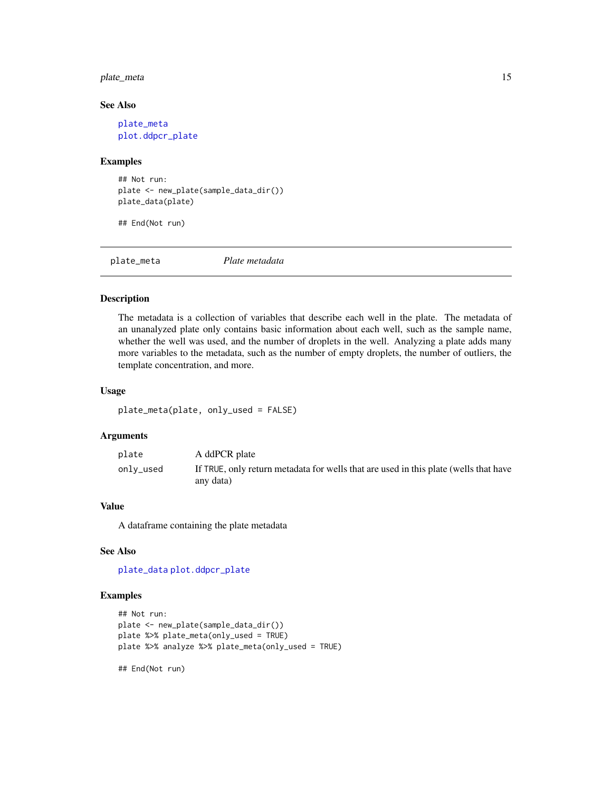### <span id="page-14-0"></span>plate\_meta 15

#### See Also

[plate\\_meta](#page-14-1) [plot.ddpcr\\_plate](#page-17-1)

#### Examples

```
## Not run:
plate <- new_plate(sample_data_dir())
plate_data(plate)
```
## End(Not run)

<span id="page-14-1"></span>

plate\_meta *Plate metadata*

### Description

The metadata is a collection of variables that describe each well in the plate. The metadata of an unanalyzed plate only contains basic information about each well, such as the sample name, whether the well was used, and the number of droplets in the well. Analyzing a plate adds many more variables to the metadata, such as the number of empty droplets, the number of outliers, the template concentration, and more.

### Usage

```
plate_meta(plate, only_used = FALSE)
```
### Arguments

| plate     | A ddPCR plate                                                                        |
|-----------|--------------------------------------------------------------------------------------|
| only_used | If TRUE, only return metadata for wells that are used in this plate (wells that have |
|           | any data)                                                                            |

### Value

A dataframe containing the plate metadata

#### See Also

[plate\\_data](#page-13-1) [plot.ddpcr\\_plate](#page-17-1)

#### Examples

```
## Not run:
plate <- new_plate(sample_data_dir())
plate %>% plate_meta(only_used = TRUE)
plate %>% analyze %>% plate_meta(only_used = TRUE)
```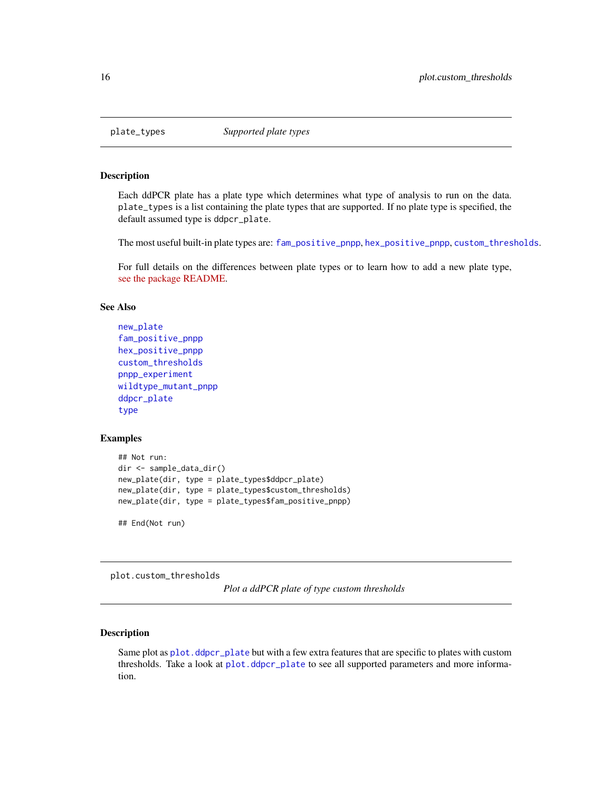<span id="page-15-1"></span><span id="page-15-0"></span>

Each ddPCR plate has a plate type which determines what type of analysis to run on the data. plate\_types is a list containing the plate types that are supported. If no plate type is specified, the default assumed type is ddpcr\_plate.

The most useful built-in plate types are: [fam\\_positive\\_pnpp](#page-6-1), [hex\\_positive\\_pnpp](#page-7-1), [custom\\_thresholds](#page-4-1).

For full details on the differences between plate types or to learn how to add a new plate type, [see the package README.](https://github.com/daattali/ddpcr)

### See Also

```
new_plate
fam_positive_pnpp
hex_positive_pnpp
custom_thresholds
pnpp_experiment
wildtype_mutant_pnpp
ddpcr_plate
type
```
### Examples

```
## Not run:
dir <- sample_data_dir()
new_plate(dir, type = plate_types$ddpcr_plate)
new_plate(dir, type = plate_types$custom_thresholds)
new_plate(dir, type = plate_types$fam_positive_pnpp)
```
## End(Not run)

<span id="page-15-2"></span>plot.custom\_thresholds

*Plot a ddPCR plate of type custom thresholds*

### **Description**

Same plot as [plot.ddpcr\\_plate](#page-17-1) but with a few extra features that are specific to plates with custom thresholds. Take a look at [plot.ddpcr\\_plate](#page-17-1) to see all supported parameters and more information.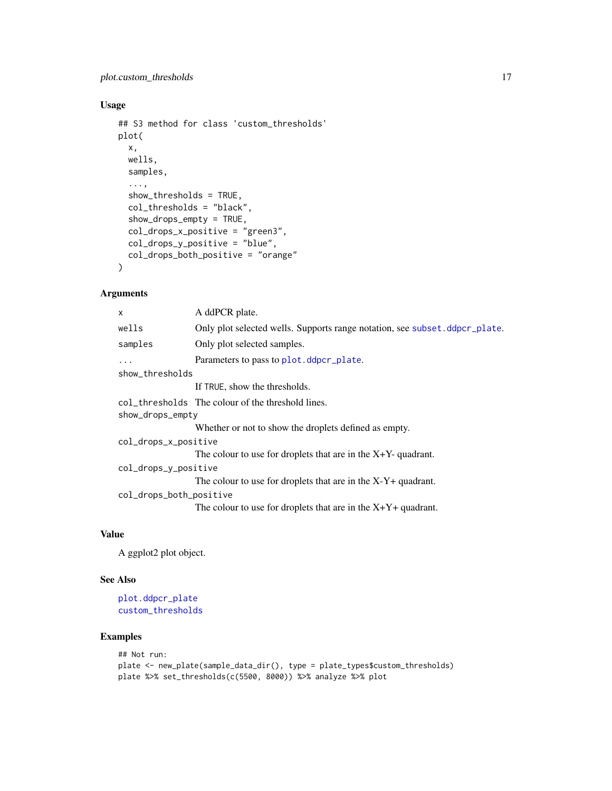### <span id="page-16-0"></span>Usage

```
## S3 method for class 'custom_thresholds'
plot(
  x,
 wells,
  samples,
  ...,
  show_thresholds = TRUE,
  col_thresholds = "black",
  show_drops_empty = TRUE,
  col_drops_x_positive = "green3",
  col_drops_y_positive = "blue",
  col_drops_both_positive = "orange"
)
```
### Arguments

| $\mathsf{x}$            | A ddPCR plate.                                                             |  |
|-------------------------|----------------------------------------------------------------------------|--|
| wells                   | Only plot selected wells. Supports range notation, see subset deper plate. |  |
| samples                 | Only plot selected samples.                                                |  |
| $\ddots$                | Parameters to pass to plot.ddpcr_plate.                                    |  |
| show_thresholds         |                                                                            |  |
|                         | If TRUE, show the thresholds.                                              |  |
|                         | col_thresholds The colour of the threshold lines.                          |  |
| show_drops_empty        |                                                                            |  |
|                         | Whether or not to show the droplets defined as empty.                      |  |
| col_drops_x_positive    |                                                                            |  |
|                         | The colour to use for droplets that are in the $X+Y-$ -quadrant.           |  |
| col_drops_y_positive    |                                                                            |  |
|                         | The colour to use for droplets that are in the $X-Y+$ quadrant.            |  |
| col_drops_both_positive |                                                                            |  |
|                         | The colour to use for droplets that are in the $X+Y+$ quadrant.            |  |

### Value

A ggplot2 plot object.

### See Also

```
plot.ddpcr_plate
custom_thresholds
```

```
## Not run:
plate <- new_plate(sample_data_dir(), type = plate_types$custom_thresholds)
plate %>% set_thresholds(c(5500, 8000)) %>% analyze %>% plot
```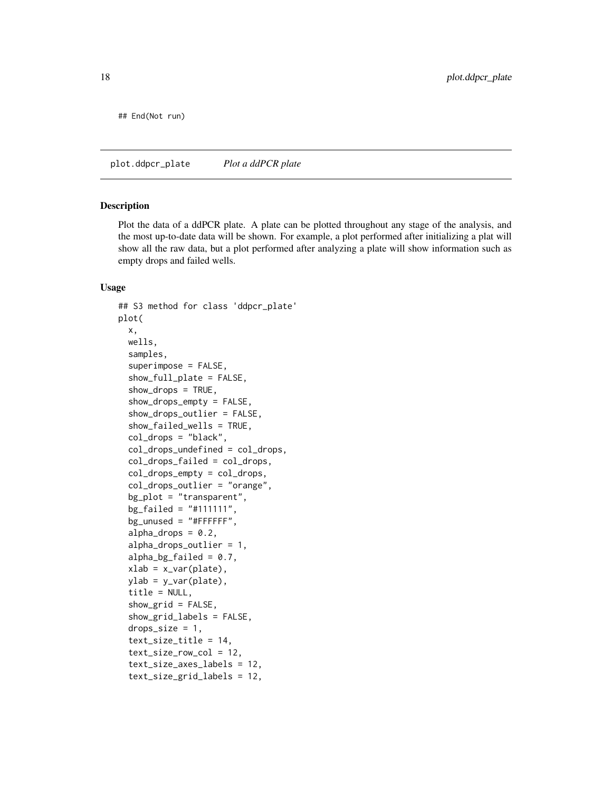<span id="page-17-0"></span>## End(Not run)

<span id="page-17-1"></span>plot.ddpcr\_plate *Plot a ddPCR plate*

#### Description

Plot the data of a ddPCR plate. A plate can be plotted throughout any stage of the analysis, and the most up-to-date data will be shown. For example, a plot performed after initializing a plat will show all the raw data, but a plot performed after analyzing a plate will show information such as empty drops and failed wells.

#### Usage

```
## S3 method for class 'ddpcr_plate'
plot(
  x,
 wells,
  samples,
  superimpose = FALSE,
  show_full_plate = FALSE,
  show_drops = TRUE,
  show_drops_empty = FALSE,
  show_drops_outlier = FALSE,
  show_failed_wells = TRUE,
  col_drops = "black",
  col_drops_undefined = col_drops,
  col_drops_failed = col_drops,
  col_drops_empty = col_drops,
  col_drops_outlier = "orange",
  bg_plot = "transparent",
  bg\_failed = "#111111",bg_unused = "#FFFFFF",
  alpha\_drops = 0.2,
  alpha_drops_outlier = 1,
  alpha_bg_failed = 0.7,
  xlab = x_var(plate),
  ylab = y_var(plate),
  title = NULL,
  show_grid = FALSE,
  show_grid_labels = FALSE,
  drops_size = 1,
  text_size_title = 14,
  text_size_row_col = 12,
  text_size_axes_labels = 12,
  text_size_grid_labels = 12,
```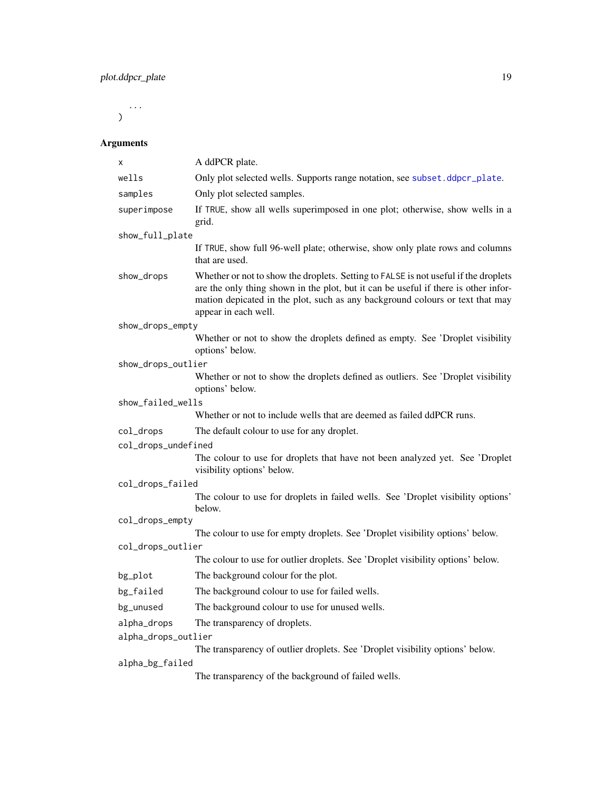<span id="page-18-0"></span>...  $\mathcal{L}$ 

## Arguments

| X                   | A ddPCR plate.                                                                                                                                                                                                                                                                      |
|---------------------|-------------------------------------------------------------------------------------------------------------------------------------------------------------------------------------------------------------------------------------------------------------------------------------|
| wells               | Only plot selected wells. Supports range notation, see subset.ddpcr_plate.                                                                                                                                                                                                          |
| samples             | Only plot selected samples.                                                                                                                                                                                                                                                         |
| superimpose         | If TRUE, show all wells superimposed in one plot; otherwise, show wells in a<br>grid.                                                                                                                                                                                               |
| show_full_plate     |                                                                                                                                                                                                                                                                                     |
|                     | If TRUE, show full 96-well plate; otherwise, show only plate rows and columns<br>that are used.                                                                                                                                                                                     |
| show_drops          | Whether or not to show the droplets. Setting to FALSE is not useful if the droplets<br>are the only thing shown in the plot, but it can be useful if there is other infor-<br>mation depicated in the plot, such as any background colours or text that may<br>appear in each well. |
| show_drops_empty    |                                                                                                                                                                                                                                                                                     |
|                     | Whether or not to show the droplets defined as empty. See 'Droplet visibility<br>options' below.                                                                                                                                                                                    |
| show_drops_outlier  |                                                                                                                                                                                                                                                                                     |
|                     | Whether or not to show the droplets defined as outliers. See 'Droplet visibility<br>options' below.                                                                                                                                                                                 |
| show_failed_wells   |                                                                                                                                                                                                                                                                                     |
|                     | Whether or not to include wells that are deemed as failed ddPCR runs.                                                                                                                                                                                                               |
| col_drops           | The default colour to use for any droplet.                                                                                                                                                                                                                                          |
| col_drops_undefined |                                                                                                                                                                                                                                                                                     |
|                     | The colour to use for droplets that have not been analyzed yet. See 'Droplet<br>visibility options' below.                                                                                                                                                                          |
| col_drops_failed    |                                                                                                                                                                                                                                                                                     |
|                     | The colour to use for droplets in failed wells. See 'Droplet visibility options'<br>below.                                                                                                                                                                                          |
| col_drops_empty     |                                                                                                                                                                                                                                                                                     |
|                     | The colour to use for empty droplets. See 'Droplet visibility options' below.                                                                                                                                                                                                       |
| col_drops_outlier   |                                                                                                                                                                                                                                                                                     |
|                     | The colour to use for outlier droplets. See 'Droplet visibility options' below.                                                                                                                                                                                                     |
| bg_plot             | The background colour for the plot.                                                                                                                                                                                                                                                 |
| bg_failed           | The background colour to use for failed wells.                                                                                                                                                                                                                                      |
| bg_unused           | The background colour to use for unused wells.                                                                                                                                                                                                                                      |
| alpha_drops         | The transparency of droplets.                                                                                                                                                                                                                                                       |
| alpha_drops_outlier |                                                                                                                                                                                                                                                                                     |
|                     | The transparency of outlier droplets. See 'Droplet visibility options' below.                                                                                                                                                                                                       |
| alpha_bg_failed     | The transparency of the background of failed wells.                                                                                                                                                                                                                                 |
|                     |                                                                                                                                                                                                                                                                                     |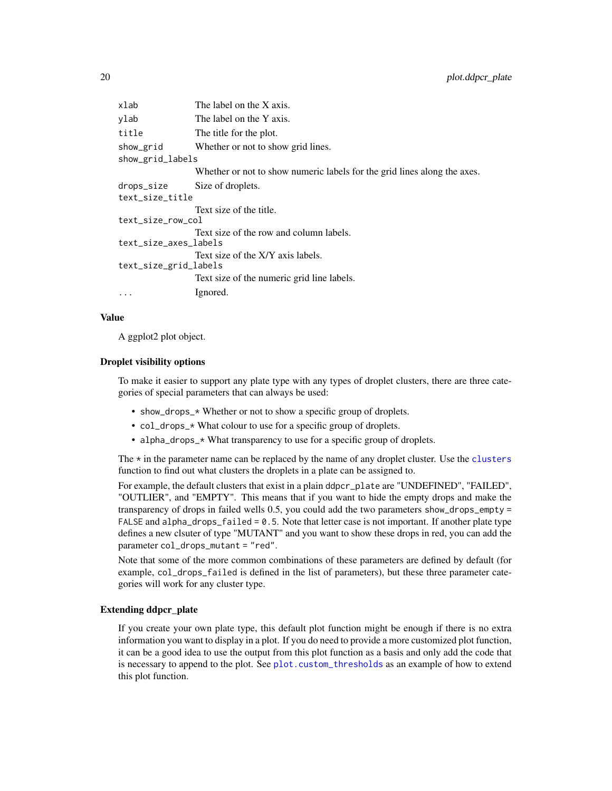<span id="page-19-0"></span>

| xlab                  | The label on the X axis.                                                 |
|-----------------------|--------------------------------------------------------------------------|
| ylab                  | The label on the Y axis.                                                 |
| title                 | The title for the plot.                                                  |
| show_grid             | Whether or not to show grid lines.                                       |
| show_grid_labels      |                                                                          |
|                       | Whether or not to show numeric labels for the grid lines along the axes. |
| drops_size            | Size of droplets.                                                        |
| text_size_title       |                                                                          |
|                       | Text size of the title.                                                  |
| text_size_row_col     |                                                                          |
|                       | Text size of the row and column labels.                                  |
| text_size_axes_labels |                                                                          |
|                       | Text size of the X/Y axis labels.                                        |
| text_size_grid_labels |                                                                          |
|                       | Text size of the numeric grid line labels.                               |
| $\ddotsc$             | Ignored.                                                                 |
|                       |                                                                          |

#### Value

A ggplot2 plot object.

#### Droplet visibility options

To make it easier to support any plate type with any types of droplet clusters, there are three categories of special parameters that can always be used:

- show\_drops\_\* Whether or not to show a specific group of droplets.
- col\_drops\_\* What colour to use for a specific group of droplets.
- alpha\_drops\_\* What transparency to use for a specific group of droplets.

The  $*$  in the parameter name can be replaced by the name of any droplet cluster. Use the [clusters](#page-3-1) function to find out what clusters the droplets in a plate can be assigned to.

For example, the default clusters that exist in a plain ddpcr\_plate are "UNDEFINED", "FAILED", "OUTLIER", and "EMPTY". This means that if you want to hide the empty drops and make the transparency of drops in failed wells 0.5, you could add the two parameters show\_drops\_empty = FALSE and alpha\_drops\_failed = 0.5. Note that letter case is not important. If another plate type defines a new clsuter of type "MUTANT" and you want to show these drops in red, you can add the parameter col\_drops\_mutant = "red".

Note that some of the more common combinations of these parameters are defined by default (for example, col\_drops\_failed is defined in the list of parameters), but these three parameter categories will work for any cluster type.

### Extending ddpcr\_plate

If you create your own plate type, this default plot function might be enough if there is no extra information you want to display in a plot. If you do need to provide a more customized plot function, it can be a good idea to use the output from this plot function as a basis and only add the code that is necessary to append to the plot. See [plot.custom\\_thresholds](#page-15-2) as an example of how to extend this plot function.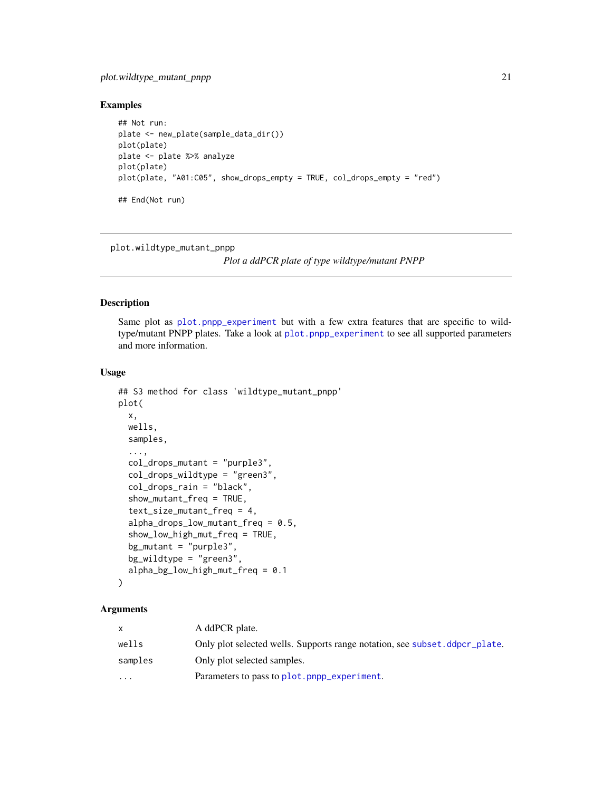### <span id="page-20-0"></span>plot.wildtype\_mutant\_pnpp 21

### Examples

```
## Not run:
plate <- new_plate(sample_data_dir())
plot(plate)
plate <- plate %>% analyze
plot(plate)
plot(plate, "A01:C05", show_drops_empty = TRUE, col_drops_empty = "red")
## End(Not run)
```
plot.wildtype\_mutant\_pnpp

*Plot a ddPCR plate of type wildtype/mutant PNPP*

### Description

Same plot as [plot.pnpp\\_experiment](#page-0-0) but with a few extra features that are specific to wildtype/mutant PNPP plates. Take a look at [plot.pnpp\\_experiment](#page-0-0) to see all supported parameters and more information.

### Usage

```
## S3 method for class 'wildtype_mutant_pnpp'
plot(
  x,
  wells,
  samples,
  ...,
  col_drops_mutant = "purple3",
  col_drops_wildtype = "green3",
  col_drops_rain = "black",
  show_mutant_freq = TRUE,
  text_size_mutant_freq = 4,
  alpha_drops_low_mutant_freq = 0.5,
  show_low_high_mut_freq = TRUE,
  bg_mutant = "purple3",
  bg_wildtype = "green3",
  alpha_bg_low_high_mut_freq = 0.1
)
```
### Arguments

|           | A ddPCR plate.                                                             |
|-----------|----------------------------------------------------------------------------|
| wells     | Only plot selected wells. Supports range notation, see subset deper plate. |
| samples   | Only plot selected samples.                                                |
| $\ddotsc$ | Parameters to pass to plot.pnpp_experiment.                                |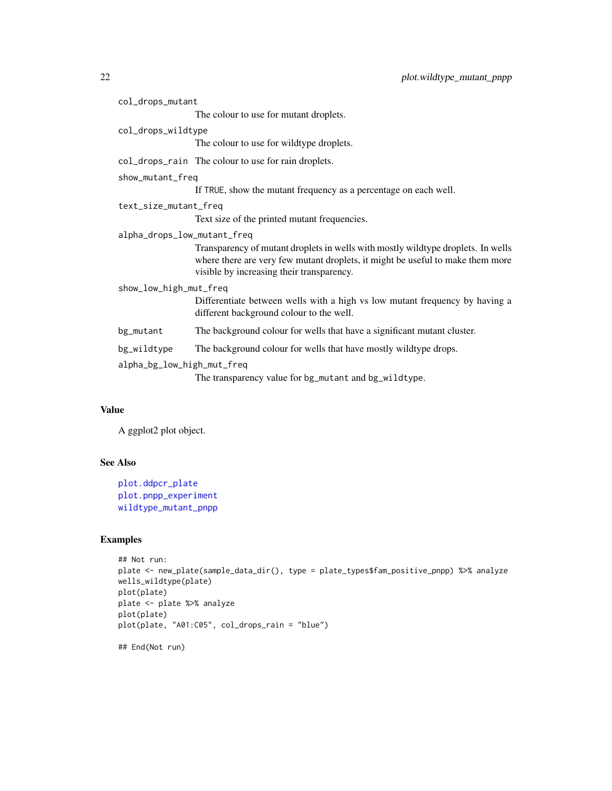<span id="page-21-0"></span>

| col_drops_mutant            |                                                                                                                                                                                                                 |  |
|-----------------------------|-----------------------------------------------------------------------------------------------------------------------------------------------------------------------------------------------------------------|--|
|                             | The colour to use for mutant droplets.                                                                                                                                                                          |  |
| col_drops_wildtype          |                                                                                                                                                                                                                 |  |
|                             | The colour to use for wildtype droplets.                                                                                                                                                                        |  |
|                             | col_drops_rain The colour to use for rain droplets.                                                                                                                                                             |  |
| show_mutant_freq            |                                                                                                                                                                                                                 |  |
|                             | If TRUE, show the mutant frequency as a percentage on each well.                                                                                                                                                |  |
| text_size_mutant_freq       |                                                                                                                                                                                                                 |  |
|                             | Text size of the printed mutant frequencies.                                                                                                                                                                    |  |
| alpha_drops_low_mutant_freq |                                                                                                                                                                                                                 |  |
|                             | Transparency of mutant droplets in wells with mostly wildtype droplets. In wells<br>where there are very few mutant droplets, it might be useful to make them more<br>visible by increasing their transparency. |  |
| show_low_high_mut_freq      |                                                                                                                                                                                                                 |  |
|                             | Differentiate between wells with a high vs low mutant frequency by having a<br>different background colour to the well.                                                                                         |  |
| bg_mutant                   | The background colour for wells that have a significant mutant cluster.                                                                                                                                         |  |
| bg_wildtype                 | The background colour for wells that have mostly wildtype drops.                                                                                                                                                |  |
| alpha_bg_low_high_mut_freq  |                                                                                                                                                                                                                 |  |
|                             | The transparency value for bg_mutant and bg_wildtype.                                                                                                                                                           |  |

### Value

A ggplot2 plot object.

### See Also

```
plot.ddpcr_plate
plot.pnpp_experiment
wildtype_mutant_pnpp
```
### Examples

```
## Not run:
plate <- new_plate(sample_data_dir(), type = plate_types$fam_positive_pnpp) %>% analyze
wells_wildtype(plate)
plot(plate)
plate <- plate %>% analyze
plot(plate)
plot(plate, "A01:C05", col_drops_rain = "blue")
```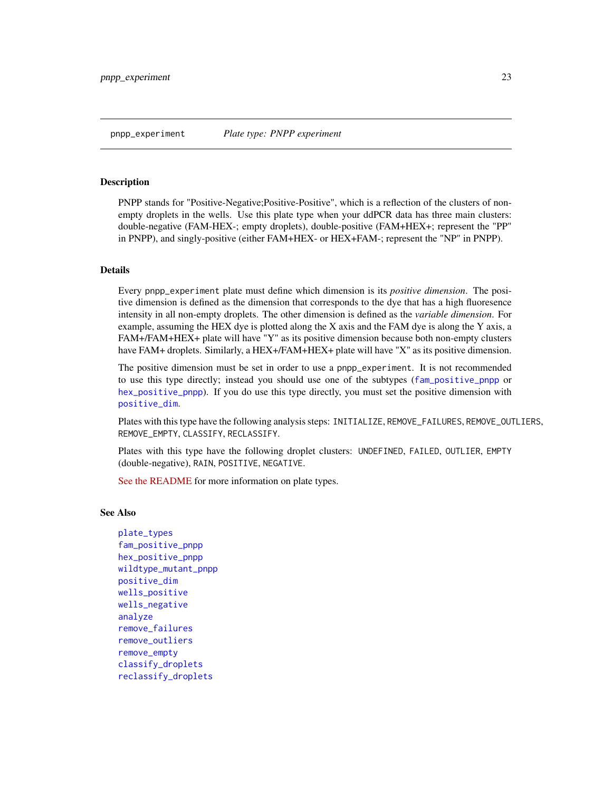<span id="page-22-1"></span><span id="page-22-0"></span>PNPP stands for "Positive-Negative;Positive-Positive", which is a reflection of the clusters of nonempty droplets in the wells. Use this plate type when your ddPCR data has three main clusters: double-negative (FAM-HEX-; empty droplets), double-positive (FAM+HEX+; represent the "PP" in PNPP), and singly-positive (either FAM+HEX- or HEX+FAM-; represent the "NP" in PNPP).

### Details

Every pnpp\_experiment plate must define which dimension is its *positive dimension*. The positive dimension is defined as the dimension that corresponds to the dye that has a high fluoresence intensity in all non-empty droplets. The other dimension is defined as the *variable dimension*. For example, assuming the HEX dye is plotted along the X axis and the FAM dye is along the Y axis, a FAM+/FAM+HEX+ plate will have "Y" as its positive dimension because both non-empty clusters have FAM+ droplets. Similarly, a HEX+/FAM+HEX+ plate will have "X" as its positive dimension.

The positive dimension must be set in order to use a pnpp\_experiment. It is not recommended to use this type directly; instead you should use one of the subtypes ([fam\\_positive\\_pnpp](#page-6-1) or [hex\\_positive\\_pnpp](#page-7-1)). If you do use this type directly, you must set the positive dimension with [positive\\_dim](#page-0-0).

Plates with this type have the following analysis steps: INITIALIZE, REMOVE\_FAILURES, REMOVE\_OUTLIERS, REMOVE\_EMPTY, CLASSIFY, RECLASSIFY.

Plates with this type have the following droplet clusters: UNDEFINED, FAILED, OUTLIER, EMPTY (double-negative), RAIN, POSITIVE, NEGATIVE.

[See the README](https://github.com/daattali/ddpcr#advanced-topic-3-creating-new-plate-types) for more information on plate types.

#### See Also

```
plate_types
fam_positive_pnpp
hex_positive_pnpp
wildtype_mutant_pnpp
positive_dim
wells_positive
wells_negative
analyze
remove_failures
remove_outliers
remove_empty
classify_droplets
reclassify_droplets
```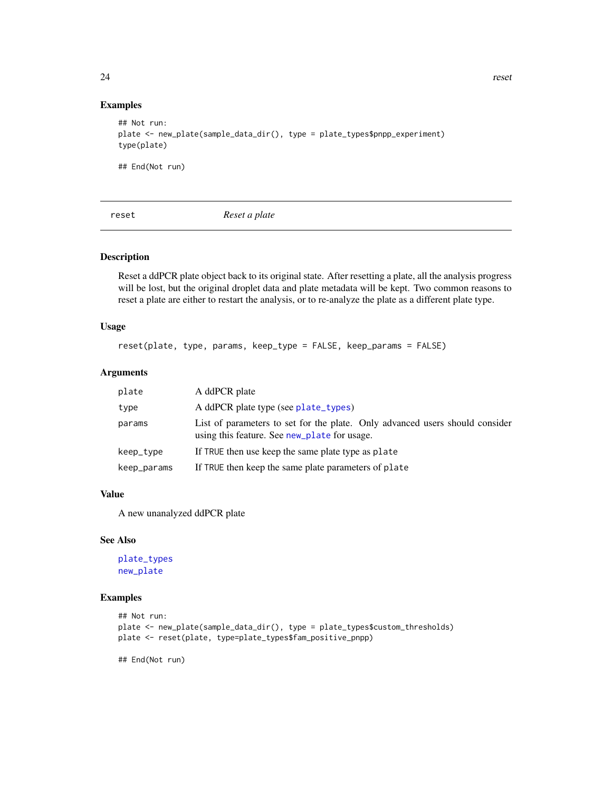### Examples

```
## Not run:
plate <- new_plate(sample_data_dir(), type = plate_types$pnpp_experiment)
type(plate)
```
## End(Not run)

<span id="page-23-1"></span>reset *Reset a plate*

### Description

Reset a ddPCR plate object back to its original state. After resetting a plate, all the analysis progress will be lost, but the original droplet data and plate metadata will be kept. Two common reasons to reset a plate are either to restart the analysis, or to re-analyze the plate as a different plate type.

### Usage

reset(plate, type, params, keep\_type = FALSE, keep\_params = FALSE)

### Arguments

| plate       | A ddPCR plate                                                                                                                |  |
|-------------|------------------------------------------------------------------------------------------------------------------------------|--|
| type        | A ddPCR plate type (see plate_types)                                                                                         |  |
| params      | List of parameters to set for the plate. Only advanced users should consider<br>using this feature. See new_plate for usage. |  |
| keep_type   | If TRUE then use keep the same plate type as plate                                                                           |  |
| keep_params | If TRUE then keep the same plate parameters of plate                                                                         |  |

### Value

A new unanalyzed ddPCR plate

#### See Also

[plate\\_types](#page-15-1) [new\\_plate](#page-9-1)

### Examples

```
## Not run:
plate <- new_plate(sample_data_dir(), type = plate_types$custom_thresholds)
plate <- reset(plate, type=plate_types$fam_positive_pnpp)
```
<span id="page-23-0"></span>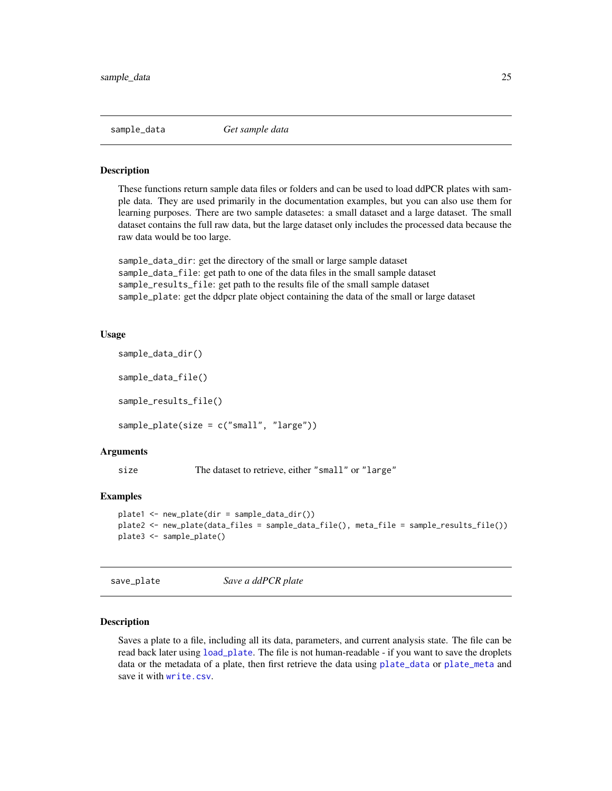<span id="page-24-0"></span>

These functions return sample data files or folders and can be used to load ddPCR plates with sample data. They are used primarily in the documentation examples, but you can also use them for learning purposes. There are two sample datasetes: a small dataset and a large dataset. The small dataset contains the full raw data, but the large dataset only includes the processed data because the raw data would be too large.

sample\_data\_dir: get the directory of the small or large sample dataset sample\_data\_file: get path to one of the data files in the small sample dataset sample\_results\_file: get path to the results file of the small sample dataset sample\_plate: get the ddpcr plate object containing the data of the small or large dataset

#### Usage

```
sample_data_dir()
sample_data_file()
```
sample\_results\_file()

sample\_plate(size = c("small", "large"))

#### Arguments

size The dataset to retrieve, either "small" or "large"

#### Examples

```
plate1 <- new_plate(dir = sample_data_dir())
plate2 <- new_plate(data_files = sample_data_file(), meta_file = sample_results_file())
plate3 <- sample_plate()
```
<span id="page-24-1"></span>save\_plate *Save a ddPCR plate*

#### Description

Saves a plate to a file, including all its data, parameters, and current analysis state. The file can be read back later using [load\\_plate](#page-8-1). The file is not human-readable - if you want to save the droplets data or the metadata of a plate, then first retrieve the data using [plate\\_data](#page-13-1) or [plate\\_meta](#page-14-1) and save it with [write.csv](#page-0-0).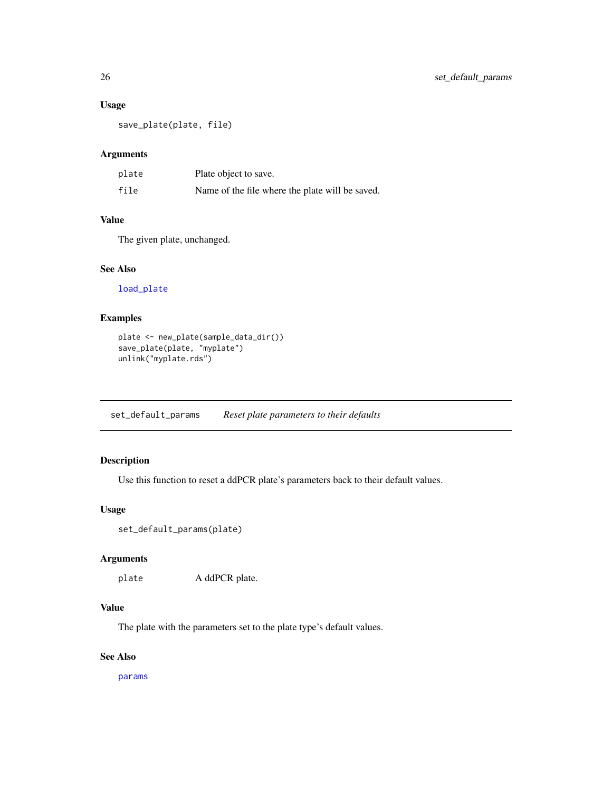### <span id="page-25-0"></span>Usage

save\_plate(plate, file)

### Arguments

| plate | Plate object to save.                           |
|-------|-------------------------------------------------|
| file  | Name of the file where the plate will be saved. |

### Value

The given plate, unchanged.

### See Also

[load\\_plate](#page-8-1)

### Examples

```
plate <- new_plate(sample_data_dir())
save_plate(plate, "myplate")
unlink("myplate.rds")
```
set\_default\_params *Reset plate parameters to their defaults*

### Description

Use this function to reset a ddPCR plate's parameters back to their default values.

### Usage

```
set_default_params(plate)
```
### Arguments

plate A ddPCR plate.

### Value

The plate with the parameters set to the plate type's default values.

### See Also

[params](#page-12-1)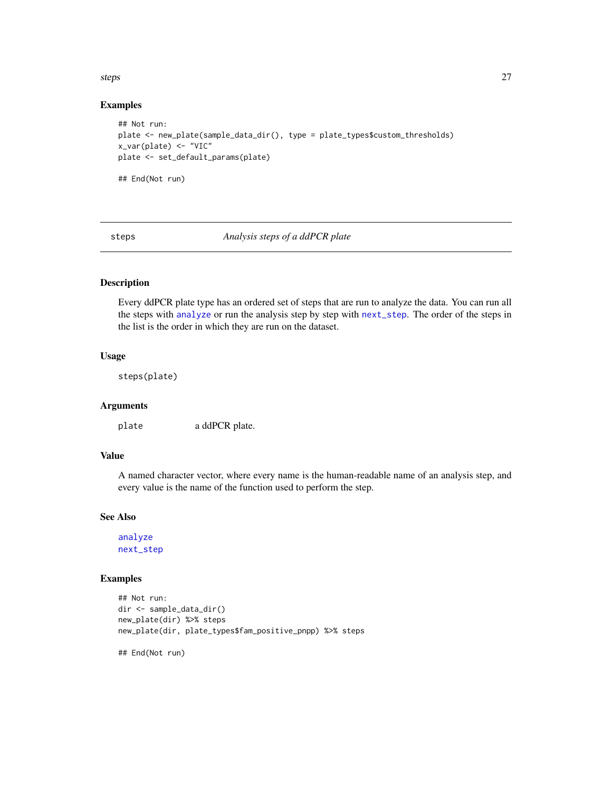#### <span id="page-26-0"></span>steps 27

#### Examples

```
## Not run:
plate <- new_plate(sample_data_dir(), type = plate_types$custom_thresholds)
x_var(plate) <- "VIC"
plate <- set_default_params(plate)
## End(Not run)
```
<span id="page-26-1"></span>steps *Analysis steps of a ddPCR plate*

### Description

Every ddPCR plate type has an ordered set of steps that are run to analyze the data. You can run all the steps with [analyze](#page-2-1) or run the analysis step by step with [next\\_step](#page-11-1). The order of the steps in the list is the order in which they are run on the dataset.

### Usage

steps(plate)

### Arguments

plate a ddPCR plate.

### Value

A named character vector, where every name is the human-readable name of an analysis step, and every value is the name of the function used to perform the step.

#### See Also

[analyze](#page-2-1) [next\\_step](#page-11-1)

### Examples

```
## Not run:
dir <- sample_data_dir()
new_plate(dir) %>% steps
new_plate(dir, plate_types$fam_positive_pnpp) %>% steps
```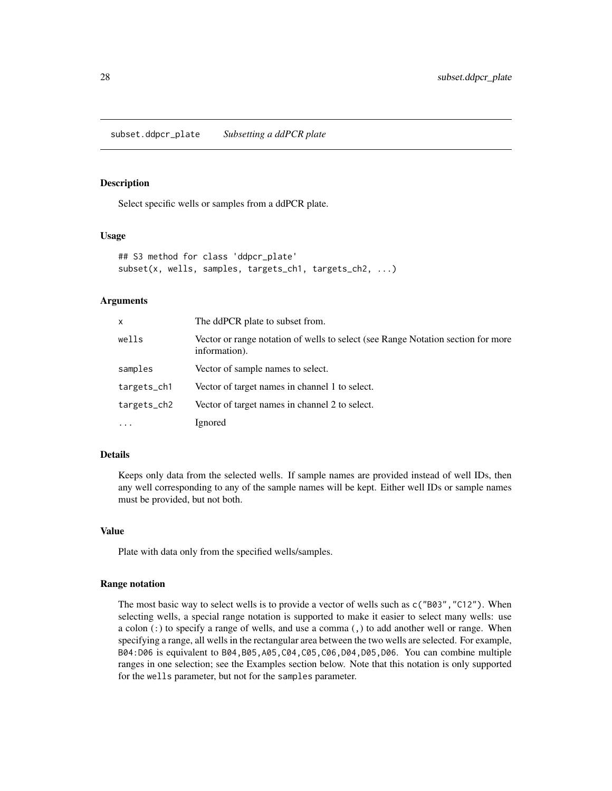<span id="page-27-1"></span><span id="page-27-0"></span>subset.ddpcr\_plate *Subsetting a ddPCR plate*

#### **Description**

Select specific wells or samples from a ddPCR plate.

#### Usage

```
## S3 method for class 'ddpcr_plate'
subset(x, wells, samples, targets_ch1, targets_ch2, ...)
```
#### Arguments

| x           | The ddPCR plate to subset from.                                                                   |
|-------------|---------------------------------------------------------------------------------------------------|
| wells       | Vector or range notation of wells to select (see Range Notation section for more<br>information). |
| samples     | Vector of sample names to select.                                                                 |
| targets_ch1 | Vector of target names in channel 1 to select.                                                    |
| targets_ch2 | Vector of target names in channel 2 to select.                                                    |
| $\cdots$    | Ignored                                                                                           |

#### Details

Keeps only data from the selected wells. If sample names are provided instead of well IDs, then any well corresponding to any of the sample names will be kept. Either well IDs or sample names must be provided, but not both.

#### Value

Plate with data only from the specified wells/samples.

#### Range notation

The most basic way to select wells is to provide a vector of wells such as c("B03","C12"). When selecting wells, a special range notation is supported to make it easier to select many wells: use a colon (:) to specify a range of wells, and use a comma (,) to add another well or range. When specifying a range, all wells in the rectangular area between the two wells are selected. For example, B04:D06 is equivalent to B04,B05,A05,C04,C05,C06,D04,D05,D06. You can combine multiple ranges in one selection; see the Examples section below. Note that this notation is only supported for the wells parameter, but not for the samples parameter.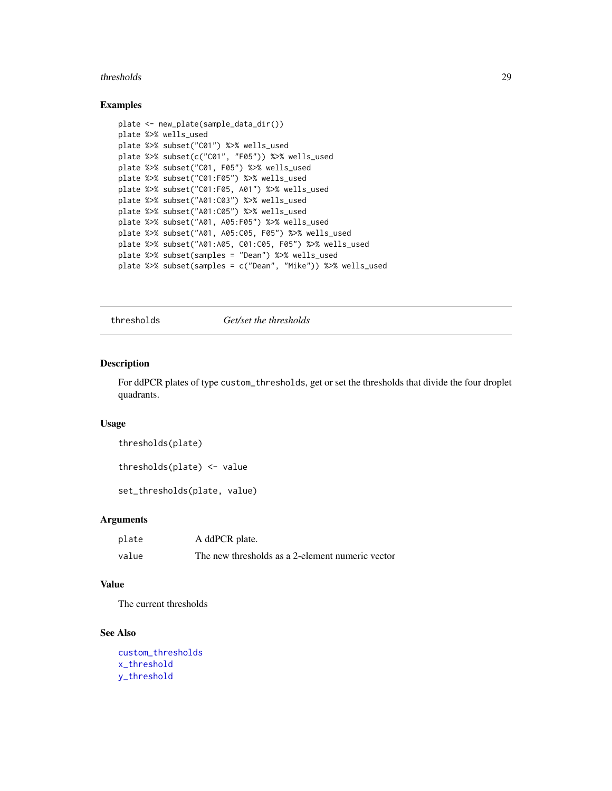#### <span id="page-28-0"></span>thresholds 29

#### Examples

```
plate <- new_plate(sample_data_dir())
plate %>% wells_used
plate %>% subset("C01") %>% wells_used
plate %>% subset(c("C01", "F05")) %>% wells_used
plate %>% subset("C01, F05") %>% wells_used
plate %>% subset("C01:F05") %>% wells_used
plate %>% subset("C01:F05, A01") %>% wells_used
plate %>% subset("A01:C03") %>% wells_used
plate %>% subset("A01:C05") %>% wells_used
plate %>% subset("A01, A05:F05") %>% wells_used
plate %>% subset("A01, A05:C05, F05") %>% wells_used
plate %>% subset("A01:A05, C01:C05, F05") %>% wells_used
plate %>% subset(samples = "Dean") %>% wells_used
plate %>% subset(samples = c("Dean", "Mike")) %>% wells_used
```
<span id="page-28-1"></span>thresholds *Get/set the thresholds*

#### Description

For ddPCR plates of type custom\_thresholds, get or set the thresholds that divide the four droplet quadrants.

### Usage

```
thresholds(plate)
```
thresholds(plate) <- value

set\_thresholds(plate, value)

#### Arguments

| plate | A ddPCR plate.                                   |
|-------|--------------------------------------------------|
| value | The new thresholds as a 2-element numeric vector |

#### Value

The current thresholds

#### See Also

```
custom_thresholds
x_threshold
y_threshold
```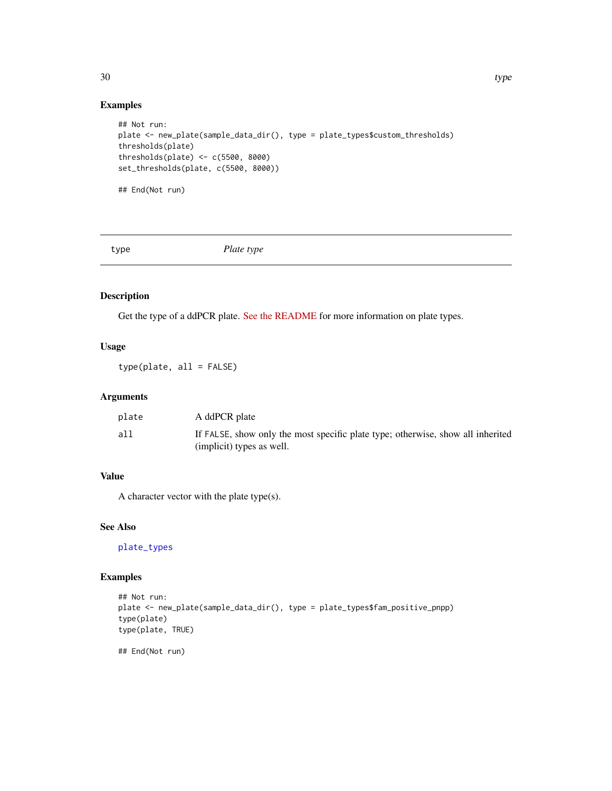#### Examples

```
## Not run:
plate <- new_plate(sample_data_dir(), type = plate_types$custom_thresholds)
thresholds(plate)
thresholds(plate) <- c(5500, 8000)
set_thresholds(plate, c(5500, 8000))
## End(Not run)
```
<span id="page-29-1"></span>

type *Plate type*

### Description

Get the type of a ddPCR plate. [See the README](https://github.com/daattali/ddpcr#advanced-topic-3-creating-new-plate-types) for more information on plate types.

### Usage

type(plate, all = FALSE)

### Arguments

| plate | A ddPCR plate                                                                                                |
|-------|--------------------------------------------------------------------------------------------------------------|
| all   | If FALSE, show only the most specific plate type; otherwise, show all inherited<br>(implicit) types as well. |

#### Value

A character vector with the plate type(s).

### See Also

[plate\\_types](#page-15-1)

### Examples

```
## Not run:
plate <- new_plate(sample_data_dir(), type = plate_types$fam_positive_pnpp)
type(plate)
type(plate, TRUE)
```
## End(Not run)

<span id="page-29-0"></span>30 type that the state of the state of the state of the state of the state of the state of the state of the state of the state of the state of the state of the state of the state of the state of the state of the state of t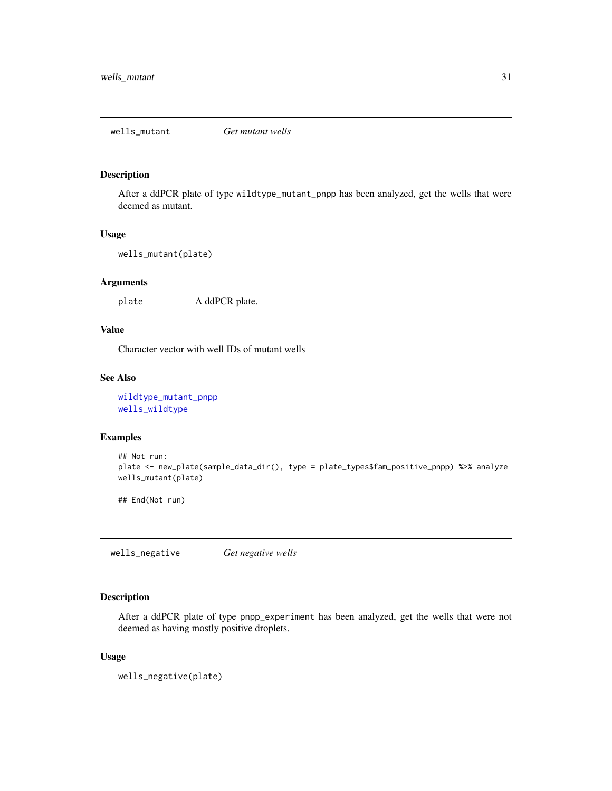<span id="page-30-2"></span><span id="page-30-0"></span>wells\_mutant *Get mutant wells*

#### Description

After a ddPCR plate of type wildtype\_mutant\_pnpp has been analyzed, get the wells that were deemed as mutant.

#### Usage

```
wells_mutant(plate)
```
#### Arguments

plate A ddPCR plate.

### Value

Character vector with well IDs of mutant wells

### See Also

[wildtype\\_mutant\\_pnpp](#page-35-1) [wells\\_wildtype](#page-33-1)

#### Examples

```
## Not run:
plate <- new_plate(sample_data_dir(), type = plate_types$fam_positive_pnpp) %>% analyze
wells_mutant(plate)
```
## End(Not run)

<span id="page-30-1"></span>wells\_negative *Get negative wells*

### Description

After a ddPCR plate of type pnpp\_experiment has been analyzed, get the wells that were not deemed as having mostly positive droplets.

#### Usage

wells\_negative(plate)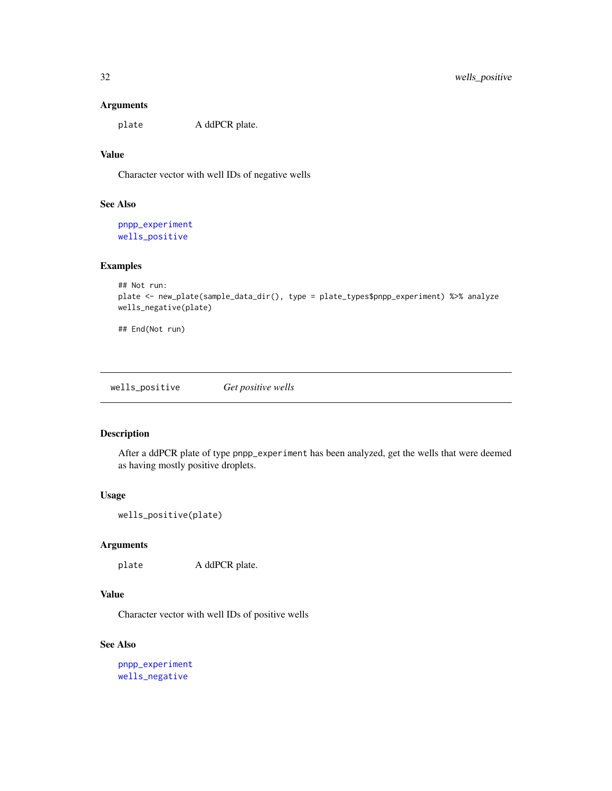### Arguments

plate A ddPCR plate.

### Value

Character vector with well IDs of negative wells

### See Also

[pnpp\\_experiment](#page-22-1) [wells\\_positive](#page-31-1)

#### Examples

```
## Not run:
plate <- new_plate(sample_data_dir(), type = plate_types$pnpp_experiment) %>% analyze
wells_negative(plate)
```
## End(Not run)

<span id="page-31-1"></span>wells\_positive *Get positive wells*

### Description

After a ddPCR plate of type pnpp\_experiment has been analyzed, get the wells that were deemed as having mostly positive droplets.

#### Usage

```
wells_positive(plate)
```
#### Arguments

plate A ddPCR plate.

### Value

Character vector with well IDs of positive wells

### See Also

```
pnpp_experiment
wells_negative
```
<span id="page-31-0"></span>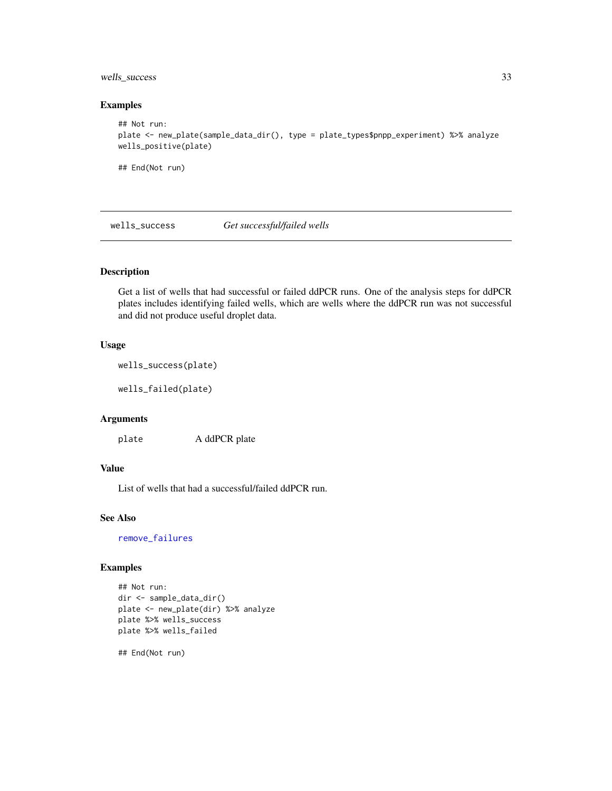### <span id="page-32-0"></span>wells\_success 33

### Examples

```
## Not run:
plate <- new_plate(sample_data_dir(), type = plate_types$pnpp_experiment) %>% analyze
wells_positive(plate)
```
## End(Not run)

wells\_success *Get successful/failed wells*

### Description

Get a list of wells that had successful or failed ddPCR runs. One of the analysis steps for ddPCR plates includes identifying failed wells, which are wells where the ddPCR run was not successful and did not produce useful droplet data.

### Usage

```
wells_success(plate)
```
wells\_failed(plate)

#### Arguments

plate A ddPCR plate

### Value

List of wells that had a successful/failed ddPCR run.

#### See Also

[remove\\_failures](#page-0-0)

### Examples

```
## Not run:
dir <- sample_data_dir()
plate <- new_plate(dir) %>% analyze
plate %>% wells_success
plate %>% wells_failed
```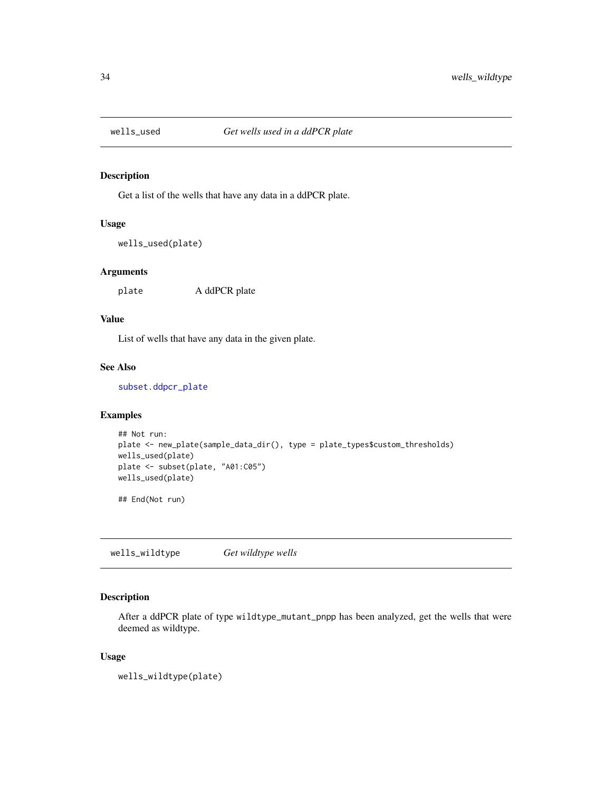<span id="page-33-0"></span>

Get a list of the wells that have any data in a ddPCR plate.

#### Usage

```
wells_used(plate)
```
#### Arguments

plate A ddPCR plate

### Value

List of wells that have any data in the given plate.

### See Also

[subset.ddpcr\\_plate](#page-27-1)

### Examples

```
## Not run:
plate <- new_plate(sample_data_dir(), type = plate_types$custom_thresholds)
wells_used(plate)
plate <- subset(plate, "A01:C05")
wells_used(plate)
```
## End(Not run)

<span id="page-33-1"></span>wells\_wildtype *Get wildtype wells*

### Description

After a ddPCR plate of type wildtype\_mutant\_pnpp has been analyzed, get the wells that were deemed as wildtype.

#### Usage

wells\_wildtype(plate)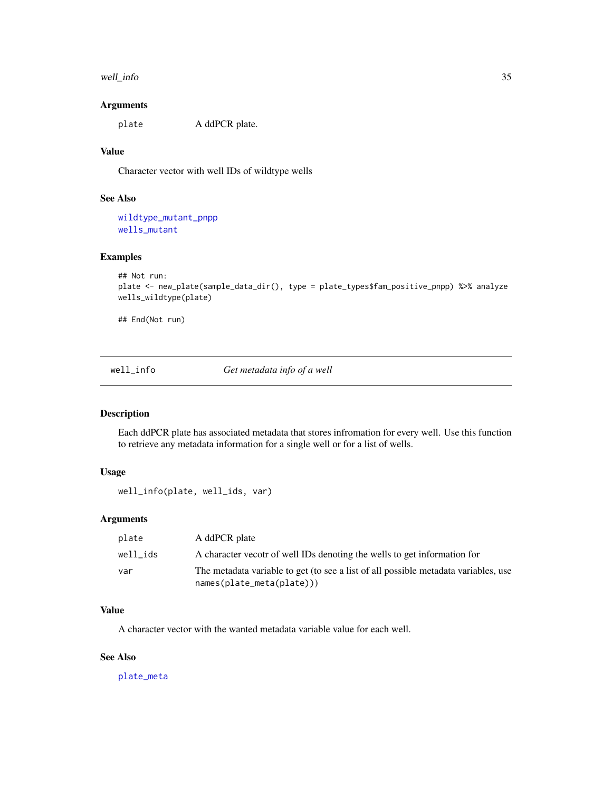#### <span id="page-34-0"></span>well\_info 35

### Arguments

plate A ddPCR plate.

### Value

Character vector with well IDs of wildtype wells

### See Also

[wildtype\\_mutant\\_pnpp](#page-35-1) [wells\\_mutant](#page-30-2)

### Examples

```
## Not run:
plate <- new_plate(sample_data_dir(), type = plate_types$fam_positive_pnpp) %>% analyze
wells_wildtype(plate)
```
## End(Not run)

well\_info *Get metadata info of a well*

#### Description

Each ddPCR plate has associated metadata that stores infromation for every well. Use this function to retrieve any metadata information for a single well or for a list of wells.

### Usage

```
well_info(plate, well_ids, var)
```
### Arguments

| plate    | A ddPCR plate                                                                                                     |
|----------|-------------------------------------------------------------------------------------------------------------------|
| well ids | A character vecotr of well IDs denoting the wells to get information for                                          |
| var      | The metadata variable to get (to see a list of all possible metadata variables, use<br>$names(plate_meta(plate))$ |

### Value

A character vector with the wanted metadata variable value for each well.

### See Also

[plate\\_meta](#page-14-1)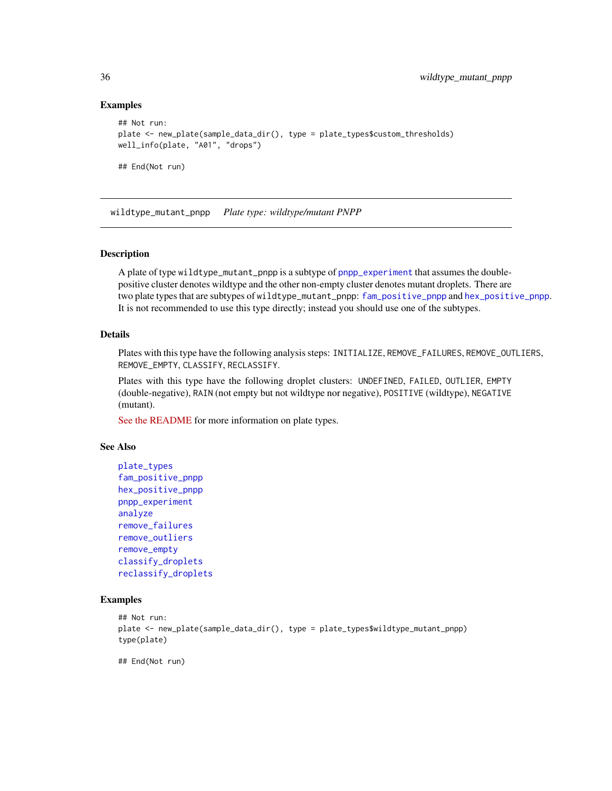### Examples

```
## Not run:
plate <- new_plate(sample_data_dir(), type = plate_types$custom_thresholds)
well_info(plate, "A01", "drops")
## End(Not run)
```
<span id="page-35-1"></span>wildtype\_mutant\_pnpp *Plate type: wildtype/mutant PNPP*

### **Description**

A plate of type wildtype\_mutant\_pnpp is a subtype of [pnpp\\_experiment](#page-22-1) that assumes the doublepositive cluster denotes wildtype and the other non-empty cluster denotes mutant droplets. There are two plate types that are subtypes of wildtype\_mutant\_pnpp: [fam\\_positive\\_pnpp](#page-6-1) and [hex\\_positive\\_pnpp](#page-7-1). It is not recommended to use this type directly; instead you should use one of the subtypes.

### Details

Plates with this type have the following analysis steps: INITIALIZE, REMOVE\_FAILURES, REMOVE\_OUTLIERS, REMOVE\_EMPTY, CLASSIFY, RECLASSIFY.

Plates with this type have the following droplet clusters: UNDEFINED, FAILED, OUTLIER, EMPTY (double-negative), RAIN (not empty but not wildtype nor negative), POSITIVE (wildtype), NEGATIVE (mutant).

[See the README](https://github.com/daattali/ddpcr#advanced-topic-3-creating-new-plate-types) for more information on plate types.

### See Also

```
plate_types
fam_positive_pnpp
hex_positive_pnpp
pnpp_experiment
analyze
remove_failures
remove_outliers
remove_empty
classify_droplets
reclassify_droplets
```
### Examples

```
## Not run:
plate <- new_plate(sample_data_dir(), type = plate_types$wildtype_mutant_pnpp)
type(plate)
```
<span id="page-35-0"></span>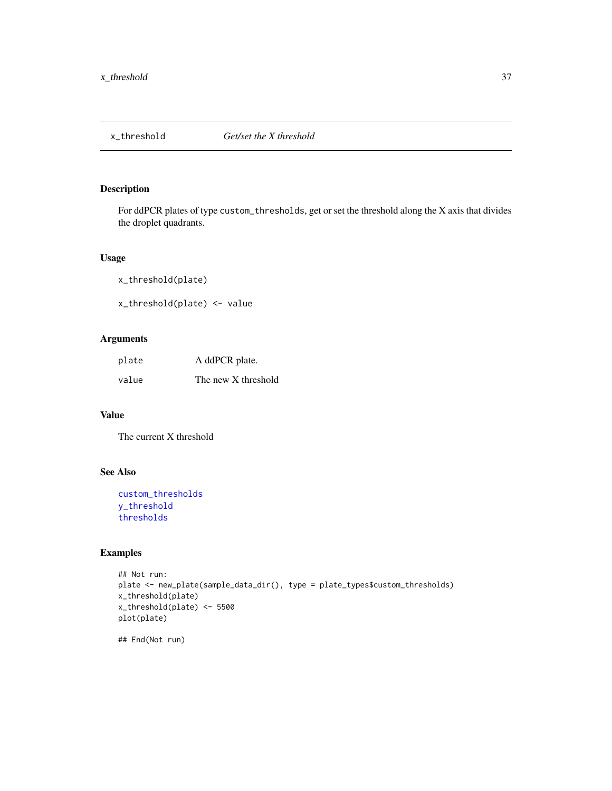<span id="page-36-1"></span><span id="page-36-0"></span>

For ddPCR plates of type custom\_thresholds, get or set the threshold along the X axis that divides the droplet quadrants.

### Usage

x\_threshold(plate) x\_threshold(plate) <- value

### Arguments

| plate | A ddPCR plate.      |
|-------|---------------------|
| value | The new X threshold |

### Value

The current X threshold

### See Also

```
custom_thresholds
y_threshold
thresholds
```

```
## Not run:
plate <- new_plate(sample_data_dir(), type = plate_types$custom_thresholds)
x_threshold(plate)
x_threshold(plate) <- 5500
plot(plate)
## End(Not run)
```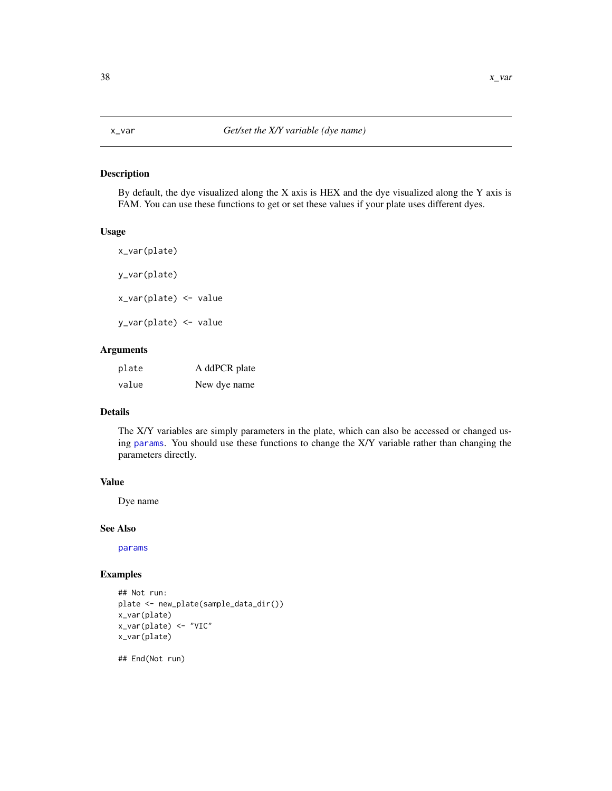<span id="page-37-2"></span><span id="page-37-1"></span><span id="page-37-0"></span>By default, the dye visualized along the X axis is HEX and the dye visualized along the Y axis is FAM. You can use these functions to get or set these values if your plate uses different dyes.

#### Usage

x\_var(plate) y\_var(plate) x\_var(plate) <- value y\_var(plate) <- value

#### Arguments

| plate | A ddPCR plate |
|-------|---------------|
| value | New dye name  |

#### Details

The X/Y variables are simply parameters in the plate, which can also be accessed or changed using [params](#page-12-1). You should use these functions to change the X/Y variable rather than changing the parameters directly.

#### Value

Dye name

#### See Also

[params](#page-12-1)

#### Examples

```
## Not run:
plate <- new_plate(sample_data_dir())
x_var(plate)
x_var(plate) <- "VIC"
x_var(plate)
```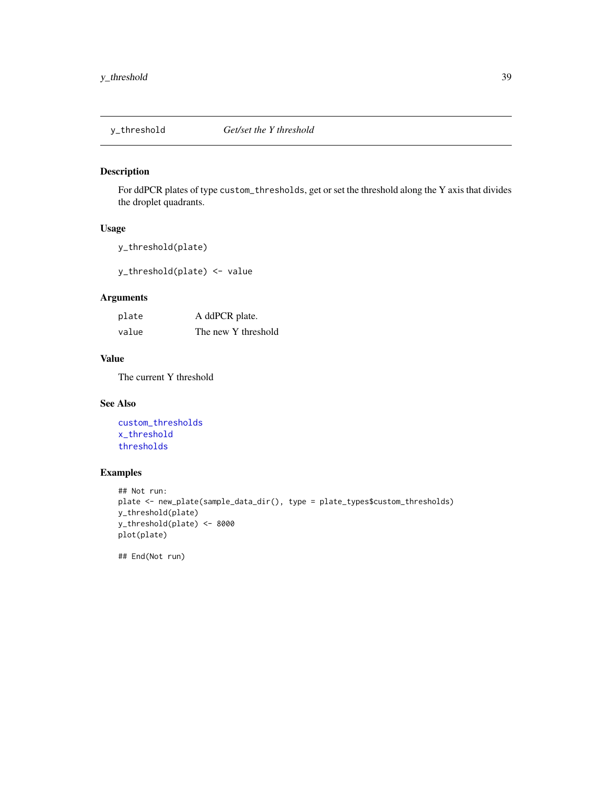<span id="page-38-1"></span><span id="page-38-0"></span>

For ddPCR plates of type custom\_thresholds, get or set the threshold along the Y axis that divides the droplet quadrants.

### Usage

y\_threshold(plate)

y\_threshold(plate) <- value

### Arguments

| plate | A ddPCR plate.      |
|-------|---------------------|
| value | The new Y threshold |

### Value

The current Y threshold

### See Also

[custom\\_thresholds](#page-4-1) [x\\_threshold](#page-36-1) [thresholds](#page-28-1)

### Examples

```
## Not run:
plate <- new_plate(sample_data_dir(), type = plate_types$custom_thresholds)
y_threshold(plate)
y_threshold(plate) <- 8000
plot(plate)
```